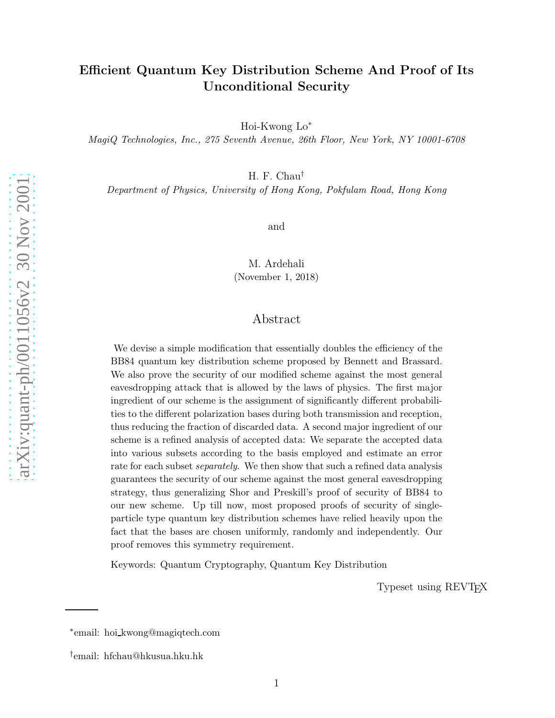# Efficient Quantum Key Distribution Scheme And Proof of Its Unconditional Security

Hoi-Kwong Lo ∗

MagiQ Technologies, Inc., 275 Seventh Avenue, 26th Floor, New York, NY 10001-6708

H. F. Chau †

Department of Physics, University of Hong Kong, Pokfulam Road, Hong Kong

and

M. Ardehali (November 1, 2018)

# Abstract

We devise a simple modification that essentially doubles the efficiency of the BB84 quantum key distribution scheme proposed by Bennett and Brassard. We also prove the security of our modified scheme against the most general eavesdropping attack that is allowed by the laws of physics. The first major ingredient of our scheme is the assignment of significantly different probabilities to the different polarization bases during both transmission and reception, thus reducing the fraction of discarded data. A second major ingredient of our scheme is a refined analysis of accepted data: We separate the accepted data into various subsets according to the basis employed and estimate an error rate for each subset *separately*. We then show that such a refined data analysis guarantees the security of our scheme against the most general eavesdropping strategy, thus generalizing Shor and Preskill's proof of security of BB84 to our new scheme. Up till now, most proposed proofs of security of singleparticle type quantum key distribution schemes have relied heavily upon the fact that the bases are chosen uniformly, randomly and independently. Our proof removes this symmetry requirement.

Keywords: Quantum Cryptography, Quantum Key Distribution

Typeset using REVTEX

<sup>∗</sup> email: hoi kwong@magiqtech.com

<sup>†</sup> email: hfchau@hkusua.hku.hk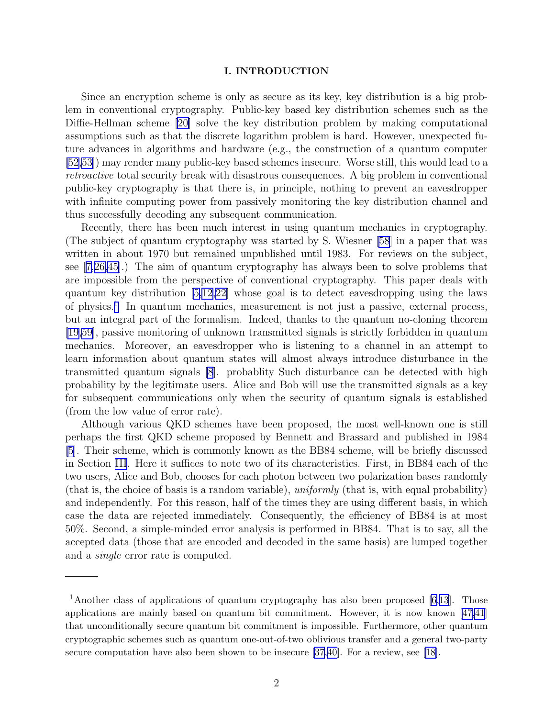## I. INTRODUCTION

Since an encryption scheme is only as secure as its key, key distribution is a big problem in conventional cryptography. Public-key based key distribution schemes such as the Diffie-Hellman scheme [\[20\]](#page-29-0) solve the key distribution problem by making computational assumptions such as that the discrete logarithm problem is hard. However, unexpected future advances in algorithms and hardware (e.g., the construction of a quantum computer [\[52,53\]](#page-31-0)) may render many public-key based schemes insecure. Worse still, this would lead to a retroactive total security break with disastrous consequences. A big problem in conventional public-key cryptography is that there is, in principle, nothing to prevent an eavesdropper with infinite computing power from passively monitoring the key distribution channel and thus successfully decoding any subsequent communication.

Recently, there has been much interest in using quantum mechanics in cryptography. (The subject of quantum cryptography was started by S. Wiesner [\[58](#page-31-0)] in a paper that was written in about 1970 but remained unpublished until 1983. For reviews on the subject, see[[7,](#page-29-0)[26,](#page-30-0)[45\]](#page-31-0).) The aim of quantum cryptography has always been to solve problems that are impossible from the perspective of conventional cryptography. This paper deals with quantum key distribution[[5,12,](#page-29-0)[22\]](#page-30-0) whose goal is to detect eavesdropping using the laws of physics.<sup>1</sup> In quantum mechanics, measurement is not just a passive, external process, but an integral part of the formalism. Indeed, thanks to the quantum no-cloning theorem [\[19](#page-29-0)[,59\]](#page-31-0), passive monitoring of unknown transmitted signals is strictly forbidden in quantum mechanics. Moreover, an eavesdropper who is listening to a channel in an attempt to learn information about quantum states will almost always introduce disturbance in the transmitted quantum signals [\[8](#page-29-0)]. probablity Such disturbance can be detected with high probability by the legitimate users. Alice and Bob will use the transmitted signals as a key for subsequent communications only when the security of quantum signals is established (from the low value of error rate).

Although various QKD schemes have been proposed, the most well-known one is still perhaps the first QKD scheme proposed by Bennett and Brassard and published in 1984 [\[5](#page-29-0)]. Their scheme, which is commonly known as the BB84 scheme, will be briefly discussed in Section [III](#page-4-0). Here it suffices to note two of its characteristics. First, in BB84 each of the two users, Alice and Bob, chooses for each photon between two polarization bases randomly (that is, the choice of basis is a random variable), uniformly (that is, with equal probability) and independently. For this reason, half of the times they are using different basis, in which case the data are rejected immediately. Consequently, the efficiency of BB84 is at most 50%. Second, a simple-minded error analysis is performed in BB84. That is to say, all the accepted data (those that are encoded and decoded in the same basis) are lumped together and a single error rate is computed.

<sup>&</sup>lt;sup>1</sup>Another class of applications of quantum cryptography has also been proposed [\[6,13](#page-29-0)]. Those applications are mainly based on quantum bit commitment. However, it is now known [\[47](#page-31-0)[,41\]](#page-30-0) that unconditionally secure quantum bit commitment is impossible. Furthermore, other quantum cryptographic schemes such as quantum one-out-of-two oblivious transfer and a general two-party secure computation have also been shown to be insecure [\[37,40\]](#page-30-0). For a review, see[[18\]](#page-29-0).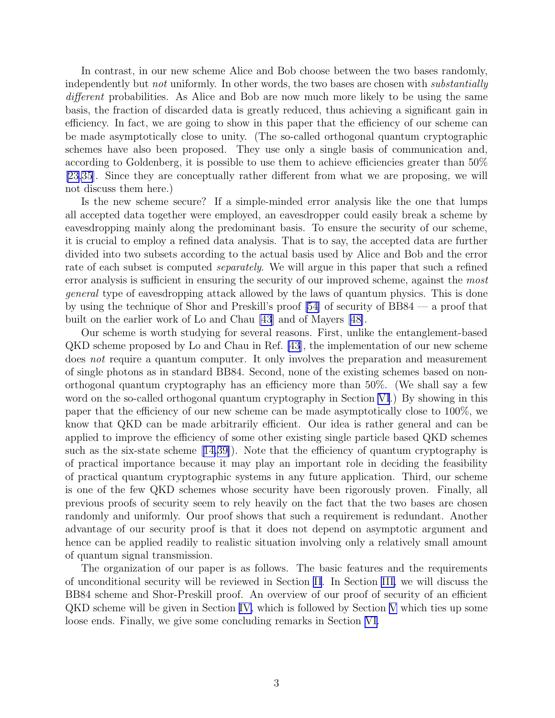In contrast, in our new scheme Alice and Bob choose between the two bases randomly, independently but *not* uniformly. In other words, the two bases are chosen with *substantially* different probabilities. As Alice and Bob are now much more likely to be using the same basis, the fraction of discarded data is greatly reduced, thus achieving a significant gain in efficiency. In fact, we are going to show in this paper that the efficiency of our scheme can be made asymptotically close to unity. (The so-called orthogonal quantum cryptographic schemes have also been proposed. They use only a single basis of communication and, according to Goldenberg, it is possible to use them to achieve efficiencies greater than 50% [\[23,35\]](#page-30-0). Since they are conceptually rather different from what we are proposing, we will not discuss them here.)

Is the new scheme secure? If a simple-minded error analysis like the one that lumps all accepted data together were employed, an eavesdropper could easily break a scheme by eavesdropping mainly along the predominant basis. To ensure the security of our scheme, it is crucial to employ a refined data analysis. That is to say, the accepted data are further divided into two subsets according to the actual basis used by Alice and Bob and the error rate of each subset is computed *separately*. We will argue in this paper that such a refined error analysis is sufficient in ensuring the security of our improved scheme, against the most general type of eavesdropping attack allowed by the laws of quantum physics. This is done by using the technique of Shor and Preskill's proof [\[54\]](#page-31-0) of security of BB84 — a proof that built on the earlier work of Lo and Chau [\[43](#page-30-0)] and of Mayers[[48\]](#page-31-0).

Our scheme is worth studying for several reasons. First, unlike the entanglement-based QKD scheme proposed by Lo and Chau in Ref. [\[43](#page-30-0)], the implementation of our new scheme does not require a quantum computer. It only involves the preparation and measurement of single photons as in standard BB84. Second, none of the existing schemes based on nonorthogonal quantum cryptography has an efficiency more than 50%. (We shall say a few word on the so-called orthogonal quantum cryptography in Section [VI](#page-26-0).) By showing in this paper that the efficiency of our new scheme can be made asymptotically close to 100%, we know that QKD can be made arbitrarily efficient. Our idea is rather general and can be applied to improve the efficiency of some other existing single particle based QKD schemes such as the six-state scheme[[14,](#page-29-0)[39\]](#page-30-0)). Note that the efficiency of quantum cryptography is of practical importance because it may play an important role in deciding the feasibility of practical quantum cryptographic systems in any future application. Third, our scheme is one of the few QKD schemes whose security have been rigorously proven. Finally, all previous proofs of security seem to rely heavily on the fact that the two bases are chosen randomly and uniformly. Our proof shows that such a requirement is redundant. Another advantage of our security proof is that it does not depend on asymptotic argument and hence can be applied readily to realistic situation involving only a relatively small amount of quantum signal transmission.

The organization of our paper is as follows. The basic features and the requirements of unconditional security will be reviewed in Section II. In Section [III,](#page-4-0) we will discuss the BB84 scheme and Shor-Preskill proof. An overview of our proof of security of an efficient QKD scheme will be given in Section [IV,](#page-15-0) which is followed by Section [V](#page-21-0) which ties up some loose ends. Finally, we give some concluding remarks in Section [VI.](#page-26-0)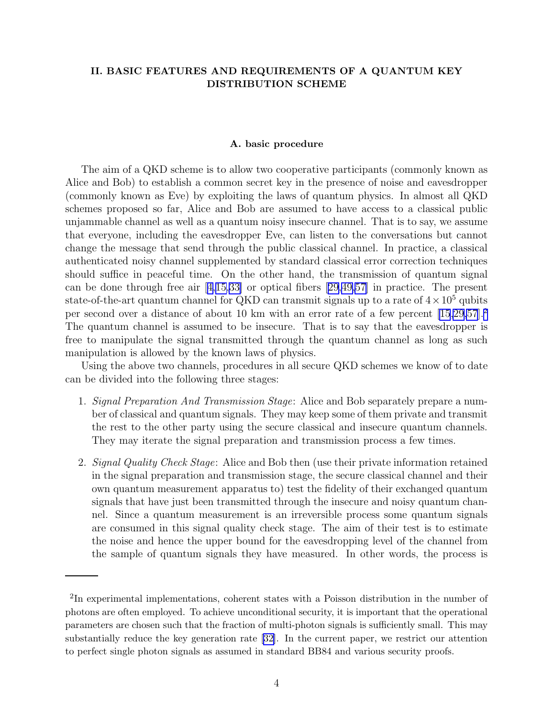# II. BASIC FEATURES AND REQUIREMENTS OF A QUANTUM KEY DISTRIBUTION SCHEME

### A. basic procedure

The aim of a QKD scheme is to allow two cooperative participants (commonly known as Alice and Bob) to establish a common secret key in the presence of noise and eavesdropper (commonly known as Eve) by exploiting the laws of quantum physics. In almost all QKD schemes proposed so far, Alice and Bob are assumed to have access to a classical public unjammable channel as well as a quantum noisy insecure channel. That is to say, we assume that everyone, including the eavesdropper Eve, can listen to the conversations but cannot change the message that send through the public classical channel. In practice, a classical authenticated noisy channel supplemented by standard classical error correction techniques should suffice in peaceful time. On the other hand, the transmission of quantum signal can be done through free air[[4,15,](#page-29-0)[33\]](#page-30-0) or optical fibers [\[29,](#page-30-0)[49,57\]](#page-31-0) in practice. The present state-of-the-art quantum channel for QKD can transmit signals up to a rate of  $4 \times 10^5$  qubits per second over a distance of about 10 km with an error rate of a few percent [\[15](#page-29-0)[,29](#page-30-0)[,57](#page-31-0)].<sup>2</sup> The quantum channel is assumed to be insecure. That is to say that the eavesdropper is free to manipulate the signal transmitted through the quantum channel as long as such manipulation is allowed by the known laws of physics.

Using the above two channels, procedures in all secure QKD schemes we know of to date can be divided into the following three stages:

- 1. Signal Preparation And Transmission Stage: Alice and Bob separately prepare a number of classical and quantum signals. They may keep some of them private and transmit the rest to the other party using the secure classical and insecure quantum channels. They may iterate the signal preparation and transmission process a few times.
- 2. Signal Quality Check Stage: Alice and Bob then (use their private information retained in the signal preparation and transmission stage, the secure classical channel and their own quantum measurement apparatus to) test the fidelity of their exchanged quantum signals that have just been transmitted through the insecure and noisy quantum channel. Since a quantum measurement is an irreversible process some quantum signals are consumed in this signal quality check stage. The aim of their test is to estimate the noise and hence the upper bound for the eavesdropping level of the channel from the sample of quantum signals they have measured. In other words, the process is

<sup>&</sup>lt;sup>2</sup>In experimental implementations, coherent states with a Poisson distribution in the number of photons are often employed. To achieve unconditional security, it is important that the operational parameters are chosen such that the fraction of multi-photon signals is sufficiently small. This may substantially reduce the key generation rate [\[32\]](#page-30-0). In the current paper, we restrict our attention to perfect single photon signals as assumed in standard BB84 and various security proofs.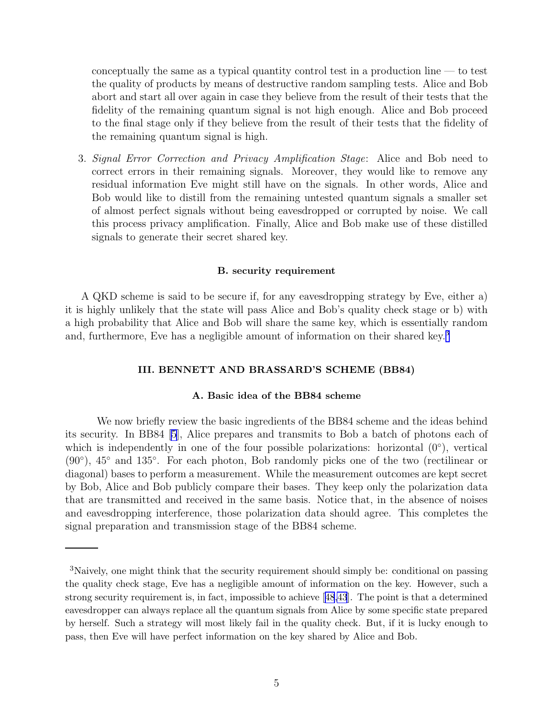<span id="page-4-0"></span>conceptually the same as a typical quantity control test in a production line  $-$  to test the quality of products by means of destructive random sampling tests. Alice and Bob abort and start all over again in case they believe from the result of their tests that the fidelity of the remaining quantum signal is not high enough. Alice and Bob proceed to the final stage only if they believe from the result of their tests that the fidelity of the remaining quantum signal is high.

3. Signal Error Correction and Privacy Amplification Stage: Alice and Bob need to correct errors in their remaining signals. Moreover, they would like to remove any residual information Eve might still have on the signals. In other words, Alice and Bob would like to distill from the remaining untested quantum signals a smaller set of almost perfect signals without being eavesdropped or corrupted by noise. We call this process privacy amplification. Finally, Alice and Bob make use of these distilled signals to generate their secret shared key.

## B. security requirement

A QKD scheme is said to be secure if, for any eavesdropping strategy by Eve, either a) it is highly unlikely that the state will pass Alice and Bob's quality check stage or b) with a high probability that Alice and Bob will share the same key, which is essentially random and, furthermore, Eve has a negligible amount of information on their shared key.<sup>3</sup>

# III. BENNETT AND BRASSARD'S SCHEME (BB84)

### A. Basic idea of the BB84 scheme

We now briefly review the basic ingredients of the BB84 scheme and the ideas behind its security. In BB84 [\[5\]](#page-29-0), Alice prepares and transmits to Bob a batch of photons each of which is independently in one of the four possible polarizations: horizontal  $(0^{\circ})$ , vertical (90◦ ), 45◦ and 135◦ . For each photon, Bob randomly picks one of the two (rectilinear or diagonal) bases to perform a measurement. While the measurement outcomes are kept secret by Bob, Alice and Bob publicly compare their bases. They keep only the polarization data that are transmitted and received in the same basis. Notice that, in the absence of noises and eavesdropping interference, those polarization data should agree. This completes the signal preparation and transmission stage of the BB84 scheme.

<sup>3</sup>Naively, one might think that the security requirement should simply be: conditional on passing the quality check stage, Eve has a negligible amount of information on the key. However, such a strong security requirement is, in fact, impossible to achieve[[48](#page-31-0)[,43](#page-30-0)]. The point is that a determined eavesdropper can always replace all the quantum signals from Alice by some specific state prepared by herself. Such a strategy will most likely fail in the quality check. But, if it is lucky enough to pass, then Eve will have perfect information on the key shared by Alice and Bob.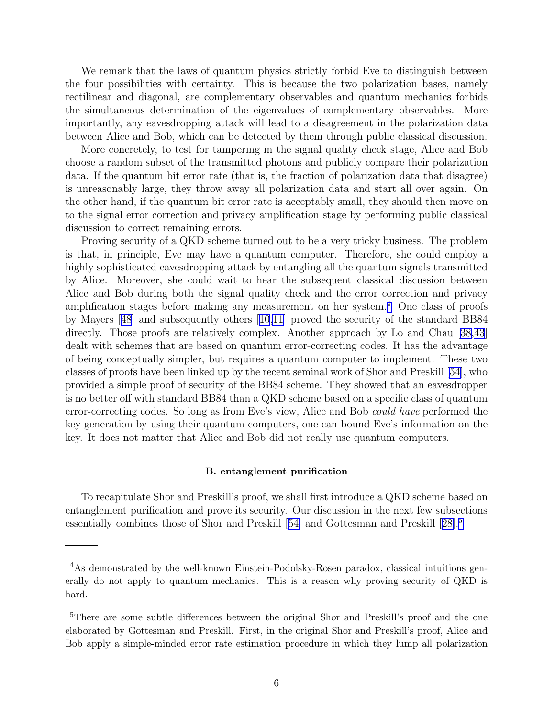We remark that the laws of quantum physics strictly forbid Eve to distinguish between the four possibilities with certainty. This is because the two polarization bases, namely rectilinear and diagonal, are complementary observables and quantum mechanics forbids the simultaneous determination of the eigenvalues of complementary observables. More importantly, any eavesdropping attack will lead to a disagreement in the polarization data between Alice and Bob, which can be detected by them through public classical discussion.

More concretely, to test for tampering in the signal quality check stage, Alice and Bob choose a random subset of the transmitted photons and publicly compare their polarization data. If the quantum bit error rate (that is, the fraction of polarization data that disagree) is unreasonably large, they throw away all polarization data and start all over again. On the other hand, if the quantum bit error rate is acceptably small, they should then move on to the signal error correction and privacy amplification stage by performing public classical discussion to correct remaining errors.

Proving security of a QKD scheme turned out to be a very tricky business. The problem is that, in principle, Eve may have a quantum computer. Therefore, she could employ a highly sophisticated eavesdropping attack by entangling all the quantum signals transmitted by Alice. Moreover, she could wait to hear the subsequent classical discussion between Alice and Bob during both the signal quality check and the error correction and privacy amplification stages before making any measurement on her system. <sup>4</sup> One class of proofs by Mayers[[48](#page-31-0)] and subsequently others [\[10,11\]](#page-29-0) proved the security of the standard BB84 directly. Those proofs are relatively complex. Another approach by Lo and Chau [\[38,43](#page-30-0)] dealt with schemes that are based on quantum error-correcting codes. It has the advantage of being conceptually simpler, but requires a quantum computer to implement. These two classes of proofs have been linked up by the recent seminal work of Shor and Preskill [\[54\]](#page-31-0), who provided a simple proof of security of the BB84 scheme. They showed that an eavesdropper is no better off with standard BB84 than a QKD scheme based on a specific class of quantum error-correcting codes. So long as from Eve's view, Alice and Bob could have performed the key generation by using their quantum computers, one can bound Eve's information on the key. It does not matter that Alice and Bob did not really use quantum computers.

#### B. entanglement purification

To recapitulate Shor and Preskill's proof, we shall first introduce a QKD scheme based on entanglement purification and prove its security. Our discussion in the next few subsections essentially combines those of Shor and Preskill [\[54\]](#page-31-0) and Gottesman and Preskill[[28\]](#page-30-0).<sup>5</sup>

<sup>&</sup>lt;sup>4</sup>As demonstrated by the well-known Einstein-Podolsky-Rosen paradox, classical intuitions generally do not apply to quantum mechanics. This is a reason why proving security of QKD is hard.

<sup>5</sup>There are some subtle differences between the original Shor and Preskill's proof and the one elaborated by Gottesman and Preskill. First, in the original Shor and Preskill's proof, Alice and Bob apply a simple-minded error rate estimation procedure in which they lump all polarization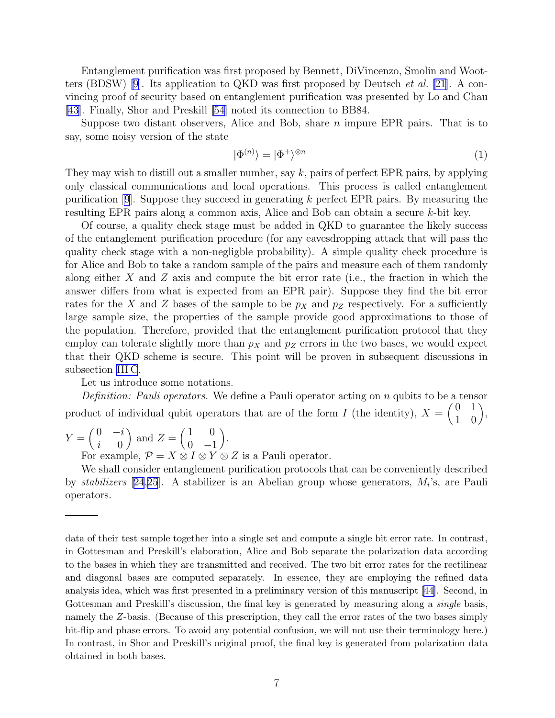Entanglement purification was first proposed by Bennett, DiVincenzo, Smolin and Wootters (BDSW)[[9\]](#page-29-0). Its application to QKD was first proposed by Deutsch et al. [\[21](#page-29-0)]. A convincing proof of security based on entanglement purification was presented by Lo and Chau [\[43](#page-30-0)]. Finally, Shor and Preskill [\[54](#page-31-0)] noted its connection to BB84.

Suppose two distant observers, Alice and Bob, share  $n$  impure EPR pairs. That is to say, some noisy version of the state

$$
|\Phi^{(n)}\rangle = |\Phi^+\rangle^{\otimes n} \tag{1}
$$

They may wish to distill out a smaller number, say k, pairs of perfect EPR pairs, by applying only classical communications and local operations. This process is called entanglement purification  $[9]$ . Suppose they succeed in generating k perfect EPR pairs. By measuring the resulting EPR pairs along a common axis, Alice and Bob can obtain a secure k-bit key.

Of course, a quality check stage must be added in QKD to guarantee the likely success of the entanglement purification procedure (for any eavesdropping attack that will pass the quality check stage with a non-negligble probability). A simple quality check procedure is for Alice and Bob to take a random sample of the pairs and measure each of them randomly along either X and Z axis and compute the bit error rate (i.e., the fraction in which the answer differs from what is expected from an EPR pair). Suppose they find the bit error rates for the X and Z bases of the sample to be  $p<sub>X</sub>$  and  $p<sub>Z</sub>$  respectively. For a sufficiently large sample size, the properties of the sample provide good approximations to those of the population. Therefore, provided that the entanglement purification protocol that they employ can tolerate slightly more than  $p<sub>X</sub>$  and  $p<sub>Z</sub>$  errors in the two bases, we would expect that their QKD scheme is secure. This point will be proven in subsequent discussions in subsection [III C](#page-7-0).

Let us introduce some notations.

Definition: Pauli operators. We define a Pauli operator acting on n qubits to be a tensor product of individual qubit operators that are of the form I (the identity),  $X = \begin{pmatrix} 0 & 1 \\ 1 & 0 \end{pmatrix}$ ,

$$
Y = \begin{pmatrix} 0 & -i \\ i & 0 \end{pmatrix} \text{ and } Z = \begin{pmatrix} 1 & 0 \\ 0 & -1 \end{pmatrix}.
$$

For example,  $\mathcal{P} = X \otimes I \otimes Y \otimes Z$  is a Pauli operator.

We shall consider entanglement purification protocols that can be conveniently described by *stabilizers* [[24](#page-30-0),[25](#page-30-0)]. A stabilizer is an Abelian group whose generators,  $M_i$ 's, are Pauli operators.

data of their test sample together into a single set and compute a single bit error rate. In contrast, in Gottesman and Preskill's elaboration, Alice and Bob separate the polarization data according to the bases in which they are transmitted and received. The two bit error rates for the rectilinear and diagonal bases are computed separately. In essence, they are employing the refined data analysis idea, which was first presented in a preliminary version of this manuscript[[44\]](#page-31-0). Second, in Gottesman and Preskill's discussion, the final key is generated by measuring along a *single* basis, namely the Z-basis. (Because of this prescription, they call the error rates of the two bases simply bit-flip and phase errors. To avoid any potential confusion, we will not use their terminology here.) In contrast, in Shor and Preskill's original proof, the final key is generated from polarization data obtained in both bases.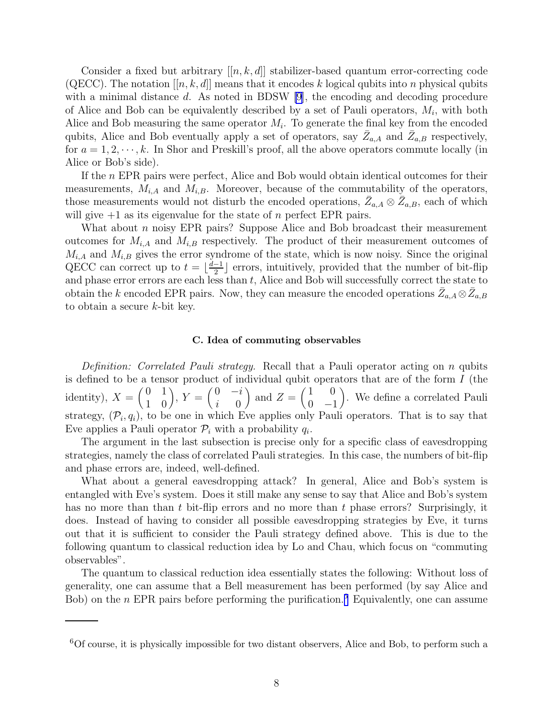<span id="page-7-0"></span>Consider a fixed but arbitrary  $[[n, k, d]]$  stabilizer-based quantum error-correcting code (QECC). The notation  $[[n, k, d]]$  means that it encodes k logical qubits into n physical qubits with a minimal distance d. As noted in BDSW [\[9](#page-29-0)], the encoding and decoding procedure of Alice and Bob can be equivalently described by a set of Pauli operators,  $M_i$ , with both Alice and Bob measuring the same operator  $M_i$ . To generate the final key from the encoded qubits, Alice and Bob eventually apply a set of operators, say  $\bar{Z}_{a,A}$  and  $\bar{Z}_{a,B}$  respectively, for  $a = 1, 2, \dots, k$ . In Shor and Preskill's proof, all the above operators commute locally (in Alice or Bob's side).

If the n EPR pairs were perfect, Alice and Bob would obtain identical outcomes for their measurements,  $M_{i,A}$  and  $M_{i,B}$ . Moreover, because of the commutability of the operators, those measurements would not disturb the encoded operations,  $\bar{Z}_{a,A}\otimes \bar{Z}_{a,B}$ , each of which will give  $+1$  as its eigenvalue for the state of n perfect EPR pairs.

What about n noisy EPR pairs? Suppose Alice and Bob broadcast their measurement outcomes for  $M_{i,A}$  and  $M_{i,B}$  respectively. The product of their measurement outcomes of  $M_{i,A}$  and  $M_{i,B}$  gives the error syndrome of the state, which is now noisy. Since the original QECC can correct up to  $t = \lfloor \frac{d-1}{2} \rfloor$  errors, intuitively, provided that the number of bit-flip and phase error errors are each less than  $t$ , Alice and Bob will successfully correct the state to obtain the k encoded EPR pairs. Now, they can measure the encoded operations  $\bar{Z}_{a,A} \otimes \bar{Z}_{a,B}$ to obtain a secure k-bit key.

#### C. Idea of commuting observables

Definition: Correlated Pauli strategy. Recall that a Pauli operator acting on n qubits is defined to be a tensor product of individual qubit operators that are of the form  $I$  (the identity),  $X = \begin{pmatrix} 0 & 1 \\ 1 & 0 \end{pmatrix}$ ,  $Y = \begin{pmatrix} 0 & -i \\ i & 0 \end{pmatrix}$  $i=0$ ) and  $Z = \begin{pmatrix} 1 & 0 \\ 0 & 1 \end{pmatrix}$  $0 -1$  . We define a correlated Pauli strategy,  $(\mathcal{P}_i, q_i)$ , to be one in which Eve applies only Pauli operators. That is to say that Eve applies a Pauli operator  $\mathcal{P}_i$  with a probability  $q_i$ .

The argument in the last subsection is precise only for a specific class of eavesdropping strategies, namely the class of correlated Pauli strategies. In this case, the numbers of bit-flip and phase errors are, indeed, well-defined.

What about a general eavesdropping attack? In general, Alice and Bob's system is entangled with Eve's system. Does it still make any sense to say that Alice and Bob's system has no more than than t bit-flip errors and no more than t phase errors? Surprisingly, it does. Instead of having to consider all possible eavesdropping strategies by Eve, it turns out that it is sufficient to consider the Pauli strategy defined above. This is due to the following quantum to classical reduction idea by Lo and Chau, which focus on "commuting observables".

The quantum to classical reduction idea essentially states the following: Without loss of generality, one can assume that a Bell measurement has been performed (by say Alice and Bob) on the *n* EPR pairs before performing the purification.<sup>6</sup> Equivalently, one can assume

 ${}^{6}$ Of course, it is physically impossible for two distant observers, Alice and Bob, to perform such a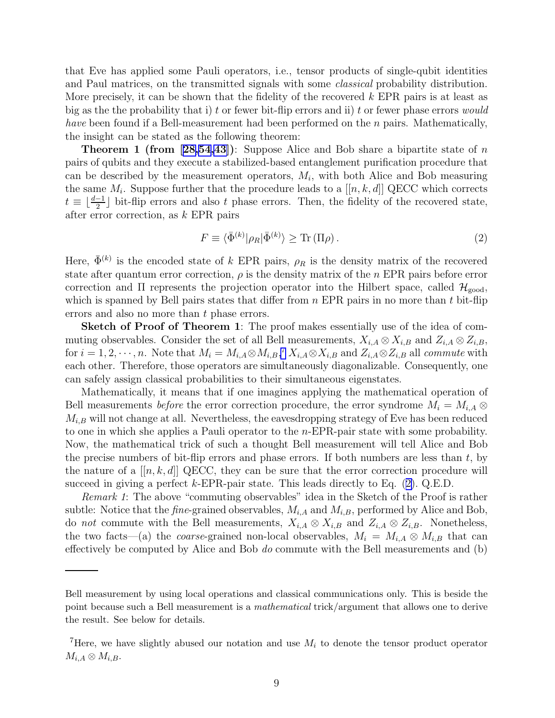that Eve has applied some Pauli operators, i.e., tensor products of single-qubit identities and Paul matrices, on the transmitted signals with some classical probability distribution. More precisely, it can be shown that the fidelity of the recovered  $k$  EPR pairs is at least as big as the the probability that i) t or fewer bit-flip errors and ii) t or fewer phase errors *would have* been found if a Bell-measurement had been performed on the  $n$  pairs. Mathematically, the insight can be stated as the following theorem:

**Theorem 1 (from [\[28,](#page-30-0)[54](#page-31-0)[,43\]](#page-30-0)):** Suppose Alice and Bob share a bipartite state of n pairs of qubits and they execute a stabilized-based entanglement purification procedure that can be described by the measurement operators,  $M_i$ , with both Alice and Bob measuring the same  $M_i$ . Suppose further that the procedure leads to a  $[[n, k, d]]$  QECC which corrects  $t \equiv \lfloor \frac{d-1}{2} \rfloor$  bit-flip errors and also t phase errors. Then, the fidelity of the recovered state, after error correction, as k EPR pairs

$$
F \equiv \langle \bar{\Phi}^{(k)} | \rho_R | \bar{\Phi}^{(k)} \rangle \ge \text{Tr} \left( \Pi \rho \right). \tag{2}
$$

Here,  $\bar{\Phi}^{(k)}$  is the encoded state of k EPR pairs,  $\rho_R$  is the density matrix of the recovered state after quantum error correction,  $\rho$  is the density matrix of the n EPR pairs before error correction and  $\Pi$  represents the projection operator into the Hilbert space, called  $\mathcal{H}_{\text{good}}$ , which is spanned by Bell pairs states that differ from  $n$  EPR pairs in no more than  $t$  bit-flip errors and also no more than t phase errors.

Sketch of Proof of Theorem 1: The proof makes essentially use of the idea of commuting observables. Consider the set of all Bell measurements,  $X_{i,A} \otimes X_{i,B}$  and  $Z_{i,A} \otimes Z_{i,B}$ , for  $i = 1, 2, \dots, n$ . Note that  $M_i = M_{i,A} \otimes M_{i,B}$ ,<sup>7</sup>  $X_{i,A} \otimes X_{i,B}$  and  $Z_{i,A} \otimes Z_{i,B}$  all *commute* with each other. Therefore, those operators are simultaneously diagonalizable. Consequently, one can safely assign classical probabilities to their simultaneous eigenstates.

Mathematically, it means that if one imagines applying the mathematical operation of Bell measurements *before* the error correction procedure, the error syndrome  $M_i = M_{i,A} \otimes$  $M_{i,B}$  will not change at all. Nevertheless, the eavesdropping strategy of Eve has been reduced to one in which she applies a Pauli operator to the n-EPR-pair state with some probability. Now, the mathematical trick of such a thought Bell measurement will tell Alice and Bob the precise numbers of bit-flip errors and phase errors. If both numbers are less than  $t$ , by the nature of a  $[[n, k, d]]$  QECC, they can be sure that the error correction procedure will succeed in giving a perfect  $k$ -EPR-pair state. This leads directly to Eq.  $(2)$ . Q.E.D.

Remark 1: The above "commuting observables" idea in the Sketch of the Proof is rather subtle: Notice that the *fine*-grained observables,  $M_{i,A}$  and  $M_{i,B}$ , performed by Alice and Bob, do not commute with the Bell measurements,  $X_{i,A} \otimes X_{i,B}$  and  $Z_{i,A} \otimes Z_{i,B}$ . Nonetheless, the two facts—(a) the *coarse*-grained non-local observables,  $M_i = M_{i,A} \otimes M_{i,B}$  that can effectively be computed by Alice and Bob  $do$  commute with the Bell measurements and  $(b)$ 

Bell measurement by using local operations and classical communications only. This is beside the point because such a Bell measurement is a mathematical trick/argument that allows one to derive the result. See below for details.

<sup>&</sup>lt;sup>7</sup>Here, we have slightly abused our notation and use  $M_i$  to denote the tensor product operator  $M_{i,A}\otimes M_{i,B}.$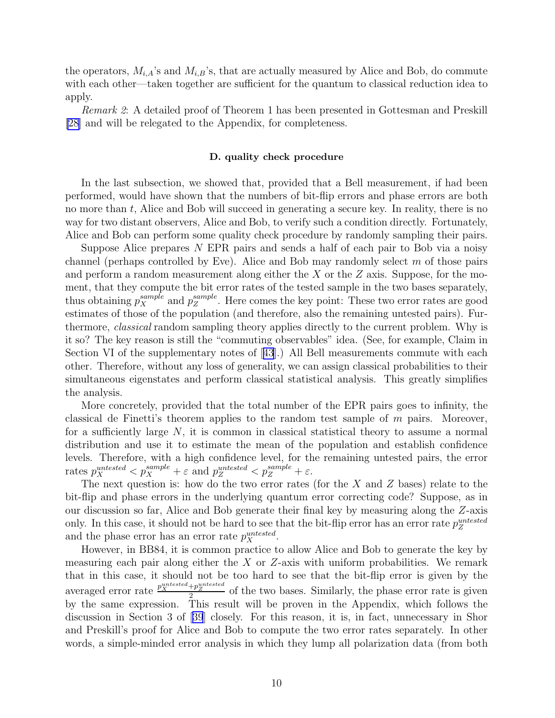the operators,  $M_{i,A}$ 's and  $M_{i,B}$ 's, that are actually measured by Alice and Bob, do commute with each other—taken together are sufficient for the quantum to classical reduction idea to apply.

Remark 2: A detailed proof of Theorem 1 has been presented in Gottesman and Preskill [\[28](#page-30-0)] and will be relegated to the Appendix, for completeness.

#### D. quality check procedure

In the last subsection, we showed that, provided that a Bell measurement, if had been performed, would have shown that the numbers of bit-flip errors and phase errors are both no more than  $t$ , Alice and Bob will succeed in generating a secure key. In reality, there is no way for two distant observers, Alice and Bob, to verify such a condition directly. Fortunately, Alice and Bob can perform some quality check procedure by randomly sampling their pairs.

Suppose Alice prepares  $N$  EPR pairs and sends a half of each pair to Bob via a noisy channel (perhaps controlled by Eve). Alice and Bob may randomly select  $m$  of those pairs and perform a random measurement along either the X or the  $Z$  axis. Suppose, for the moment, that they compute the bit error rates of the tested sample in the two bases separately, thus obtaining  $p_X^{sample}$  and  $p_Z^{sample}$  $Z<sub>Z</sub><sup>sample</sup>$ . Here comes the key point: These two error rates are good estimates of those of the population (and therefore, also the remaining untested pairs). Furthermore, classical random sampling theory applies directly to the current problem. Why is it so? The key reason is still the "commuting observables" idea. (See, for example, Claim in Section VI of the supplementary notes of[[43](#page-30-0)].) All Bell measurements commute with each other. Therefore, without any loss of generality, we can assign classical probabilities to their simultaneous eigenstates and perform classical statistical analysis. This greatly simplifies the analysis.

More concretely, provided that the total number of the EPR pairs goes to infinity, the classical de Finetti's theorem applies to the random test sample of  $m$  pairs. Moreover, for a sufficiently large  $N$ , it is common in classical statistical theory to assume a normal distribution and use it to estimate the mean of the population and establish confidence levels. Therefore, with a high confidence level, for the remaining untested pairs, the error rates  $p_X^{untested} < p_X^{sample} + \varepsilon$  and  $p_Z^{untested} < p_Z^{sample} + \varepsilon$ .

The next question is: how do the two error rates (for the X and Z bases) relate to the bit-flip and phase errors in the underlying quantum error correcting code? Suppose, as in our discussion so far, Alice and Bob generate their final key by measuring along the Z-axis only. In this case, it should not be hard to see that the bit-flip error has an error rate  $p_Z^{untested}$ and the phase error has an error rate  $p_X^{untested}$ .

However, in BB84, it is common practice to allow Alice and Bob to generate the key by measuring each pair along either the  $X$  or  $Z$ -axis with uniform probabilities. We remark that in this case, it should not be too hard to see that the bit-flip error is given by the averaged error rate  $\frac{p_{X}^{untested}+p_{Z}^{untested}}{2}$  of the two bases. Similarly, the phase error rate is given by the same expression. This result will be proven in the Appendix, which follows the discussion in Section 3 of[[39](#page-30-0)] closely. For this reason, it is, in fact, unnecessary in Shor and Preskill's proof for Alice and Bob to compute the two error rates separately. In other words, a simple-minded error analysis in which they lump all polarization data (from both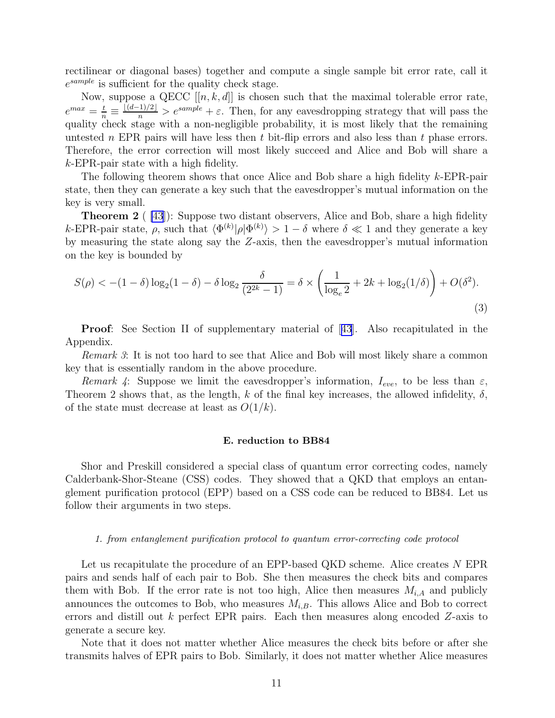rectilinear or diagonal bases) together and compute a single sample bit error rate, call it  $e^{sample}$  is sufficient for the quality check stage.

Now, suppose a QECC  $[[n, k, d]]$  is chosen such that the maximal tolerable error rate,  $e^{max} = \frac{t}{n} \equiv \frac{\lfloor (d-1)/2 \rfloor}{n} > e^{sample} + \varepsilon$ . Then, for any eavesdropping strategy that will pass the quality check stage with a non-negligible probability, it is most likely that the remaining untested n EPR pairs will have less then  $t$  bit-flip errors and also less than  $t$  phase errors. Therefore, the error correction will most likely succeed and Alice and Bob will share a k-EPR-pair state with a high fidelity.

The following theorem shows that once Alice and Bob share a high fidelity k-EPR-pair state, then they can generate a key such that the eavesdropper's mutual information on the key is very small.

**Theorem 2** ( $\{43\}$ ): Suppose two distant observers, Alice and Bob, share a high fidelity k-EPR-pair state,  $\rho$ , such that  $\langle \Phi^{(k)} | \rho | \Phi^{(k)} \rangle > 1 - \delta$  where  $\delta \ll 1$  and they generate a key by measuring the state along say the Z-axis, then the eavesdropper's mutual information on the key is bounded by

$$
S(\rho) < -(1 - \delta) \log_2(1 - \delta) - \delta \log_2 \frac{\delta}{(2^{2k} - 1)} = \delta \times \left(\frac{1}{\log_e 2} + 2k + \log_2(1/\delta)\right) + O(\delta^2). \tag{3}
$$

Proof: See Section II of supplementary material of[[43](#page-30-0)]. Also recapitulated in the Appendix.

Remark 3: It is not too hard to see that Alice and Bob will most likely share a common key that is essentially random in the above procedure.

Remark 4: Suppose we limit the eavesdropper's information,  $I_{eve}$ , to be less than  $\varepsilon$ , Theorem 2 shows that, as the length, k of the final key increases, the allowed infidelity,  $\delta$ , of the state must decrease at least as  $O(1/k)$ .

### E. reduction to BB84

Shor and Preskill considered a special class of quantum error correcting codes, namely Calderbank-Shor-Steane (CSS) codes. They showed that a QKD that employs an entanglement purification protocol (EPP) based on a CSS code can be reduced to BB84. Let us follow their arguments in two steps.

#### 1. from entanglement purification protocol to quantum error-correcting code protocol

Let us recapitulate the procedure of an EPP-based QKD scheme. Alice creates N EPR pairs and sends half of each pair to Bob. She then measures the check bits and compares them with Bob. If the error rate is not too high, Alice then measures  $M_{i,A}$  and publicly announces the outcomes to Bob, who measures  $M_{i,B}$ . This allows Alice and Bob to correct errors and distill out k perfect EPR pairs. Each then measures along encoded  $Z$ -axis to generate a secure key.

Note that it does not matter whether Alice measures the check bits before or after she transmits halves of EPR pairs to Bob. Similarly, it does not matter whether Alice measures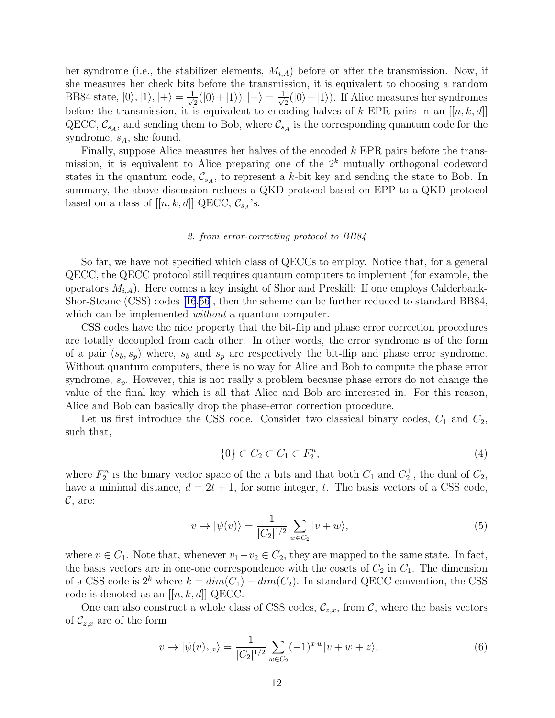<span id="page-11-0"></span>her syndrome (i.e., the stabilizer elements,  $M_{i,A}$ ) before or after the transmission. Now, if she measures her check bits before the transmission, it is equivalent to choosing a random BB84 state,  $|0\rangle, |1\rangle, |+\rangle = \frac{1}{\sqrt{2}}$  $\frac{1}{2}(|0\rangle+|1\rangle), |-\rangle=\frac{1}{\sqrt{2}}$  $\frac{1}{2}(|0\rangle - |1\rangle)$ . If Alice measures her syndromes before the transmission, it is equivalent to encoding halves of k EPR pairs in an  $[[n, k, d]]$ QECC,  $\mathcal{C}_{s_A}$ , and sending them to Bob, where  $\mathcal{C}_{s_A}$  is the corresponding quantum code for the syndrome,  $s_A$ , she found.

Finally, suppose Alice measures her halves of the encoded k EPR pairs before the transmission, it is equivalent to Alice preparing one of the  $2<sup>k</sup>$  mutually orthogonal codeword states in the quantum code,  $\mathcal{C}_{s_A}$ , to represent a k-bit key and sending the state to Bob. In summary, the above discussion reduces a QKD protocol based on EPP to a QKD protocol based on a class of  $[[n, k, d]]$  QECC,  $\mathcal{C}_{s_A}$ 's.

#### 2. from error-correcting protocol to BB84

So far, we have not specified which class of QECCs to employ. Notice that, for a general QECC, the QECC protocol still requires quantum computers to implement (for example, the operators  $M_{i,A}$ ). Here comes a key insight of Shor and Preskill: If one employs Calderbank-Shor-Steane (CSS) codes[[16](#page-29-0),[56](#page-31-0)], then the scheme can be further reduced to standard BB84, which can be implemented *without* a quantum computer.

CSS codes have the nice property that the bit-flip and phase error correction procedures are totally decoupled from each other. In other words, the error syndrome is of the form of a pair  $(s_b, s_p)$  where,  $s_b$  and  $s_p$  are respectively the bit-flip and phase error syndrome. Without quantum computers, there is no way for Alice and Bob to compute the phase error syndrome,  $s_p$ . However, this is not really a problem because phase errors do not change the value of the final key, which is all that Alice and Bob are interested in. For this reason, Alice and Bob can basically drop the phase-error correction procedure.

Let us first introduce the CSS code. Consider two classical binary codes,  $C_1$  and  $C_2$ , such that,

$$
\{0\} \subset C_2 \subset C_1 \subset F_2^n,\tag{4}
$$

where  $F_2^n$  is the binary vector space of the *n* bits and that both  $C_1$  and  $C_2^{\perp}$ , the dual of  $C_2$ , have a minimal distance,  $d = 2t + 1$ , for some integer, t. The basis vectors of a CSS code,  $\mathcal{C}$ , are:

$$
v \to |\psi(v)\rangle = \frac{1}{|C_2|^{1/2}} \sum_{w \in C_2} |v + w\rangle,\tag{5}
$$

where  $v \in C_1$ . Note that, whenever  $v_1 - v_2 \in C_2$ , they are mapped to the same state. In fact, the basis vectors are in one-one correspondence with the cosets of  $C_2$  in  $C_1$ . The dimension of a CSS code is  $2^k$  where  $k = dim(C_1) - dim(C_2)$ . In standard QECC convention, the CSS code is denoted as an  $[[n, k, d]]$  QECC.

One can also construct a whole class of CSS codes,  $\mathcal{C}_{z,x}$ , from  $\mathcal{C}$ , where the basis vectors of  $\mathcal{C}_{z,x}$  are of the form

$$
v \to |\psi(v)_{z,x}\rangle = \frac{1}{|C_2|^{1/2}} \sum_{w \in C_2} (-1)^{x \cdot w} |v + w + z\rangle,
$$
 (6)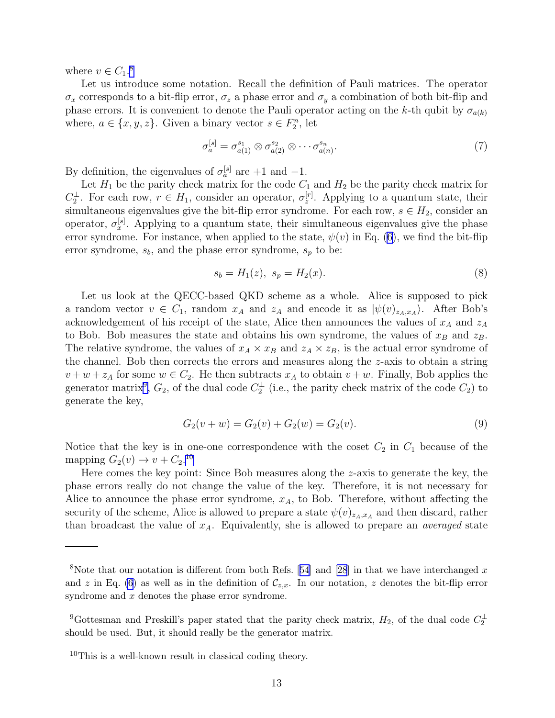where  $v \in C_1$ .<sup>8</sup>

Let us introduce some notation. Recall the definition of Pauli matrices. The operator  $\sigma_x$  corresponds to a bit-flip error,  $\sigma_z$  a phase error and  $\sigma_y$  a combination of both bit-flip and phase errors. It is convenient to denote the Pauli operator acting on the k-th qubit by  $\sigma_{a(k)}$ where,  $a \in \{x, y, z\}$ . Given a binary vector  $s \in F_2^n$ , let

$$
\sigma_a^{[s]} = \sigma_{a(1)}^{s_1} \otimes \sigma_{a(2)}^{s_2} \otimes \cdots \sigma_{a(n)}^{s_n}.
$$
\n
$$
(7)
$$

By definition, the eigenvalues of  $\sigma_a^{[s]}$  are +1 and -1.

Let  $H_1$  be the parity check matrix for the code  $C_1$  and  $H_2$  be the parity check matrix for  $C_2^{\perp}$ . For each row,  $r \in H_1$ , consider an operator,  $\sigma_z^{[r]}$ . Applying to a quantum state, their simultaneous eigenvalues give the bit-flip error syndrome. For each row,  $s \in H_2$ , consider an operator,  $\sigma_x^{[s]}$ . Applying to a quantum state, their simultaneous eigenvalues give the phase error syndrome. For instance, when applied to the state,  $\psi(v)$  in Eq. [\(6](#page-11-0)), we find the bit-flip error syndrome,  $s_b$ , and the phase error syndrome,  $s_p$  to be:

$$
s_b = H_1(z), \ s_p = H_2(x). \tag{8}
$$

Let us look at the QECC-based QKD scheme as a whole. Alice is supposed to pick a random vector  $v \in C_1$ , random  $x_A$  and  $z_A$  and encode it as  $|\psi(v)_{z_A,x_A}\rangle$ . After Bob's acknowledgement of his receipt of the state, Alice then announces the values of  $x_A$  and  $z_A$ to Bob. Bob measures the state and obtains his own syndrome, the values of  $x_B$  and  $z_B$ . The relative syndrome, the values of  $x_A \times x_B$  and  $z_A \times z_B$ , is the actual error syndrome of the channel. Bob then corrects the errors and measures along the z-axis to obtain a string  $v + w + z_A$  for some  $w \in C_2$ . He then subtracts  $x_A$  to obtain  $v + w$ . Finally, Bob applies the generator matrix<sup>9</sup>,  $G_2$ , of the dual code  $C_2^{\perp}$  (i.e., the parity check matrix of the code  $C_2$ ) to generate the key,

$$
G_2(v + w) = G_2(v) + G_2(w) = G_2(v).
$$
\n(9)

Notice that the key is in one-one correspondence with the coset  $C_2$  in  $C_1$  because of the mapping  $G_2(v) \rightarrow v + C_2$ .<sup>10</sup>

Here comes the key point: Since Bob measures along the z-axis to generate the key, the phase errors really do not change the value of the key. Therefore, it is not necessary for Alice to announce the phase error syndrome,  $x_A$ , to Bob. Therefore, without affecting the security of the scheme, Alice is allowed to prepare a state  $\psi(v)_{z_A,x_A}$  and then discard, rather than broadcast the value of  $x_A$ . Equivalently, she is allowed to prepare an *averaged* state

<sup>&</sup>lt;sup>8</sup>Notethat our notation is different from both Refs. [[54](#page-31-0)] and [\[28](#page-30-0)] in that we have interchanged x and z in Eq. [\(6\)](#page-11-0) as well as in the definition of  $\mathcal{C}_{z,x}$ . In our notation, z denotes the bit-flip error syndrome and x denotes the phase error syndrome.

<sup>&</sup>lt;sup>9</sup>Gottesman and Preskill's paper stated that the parity check matrix,  $H_2$ , of the dual code  $C_2^{\perp}$ should be used. But, it should really be the generator matrix.

 $10$ This is a well-known result in classical coding theory.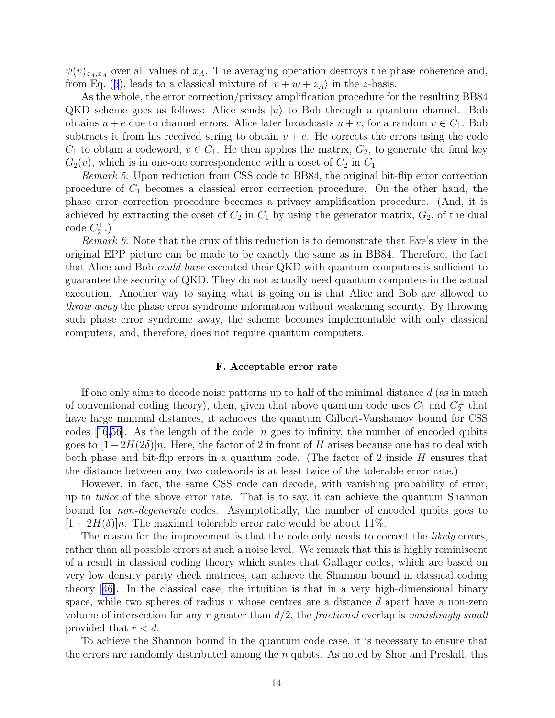$\psi(v)_{z_A,x_A}$  over all values of  $x_A$ . The averaging operation destroys the phase coherence and, fromEq. ([6](#page-11-0)), leads to a classical mixture of  $|v + w + z_A\rangle$  in the z-basis.

As the whole, the error correction/privacy amplification procedure for the resulting BB84 QKD scheme goes as follows: Alice sends  $|u\rangle$  to Bob through a quantum channel. Bob obtains  $u + e$  due to channel errors. Alice later broadcasts  $u + v$ , for a random  $v \in C_1$ . Bob subtracts it from his received string to obtain  $v + e$ . He corrects the errors using the code  $C_1$  to obtain a codeword,  $v \in C_1$ . He then applies the matrix,  $G_2$ , to generate the final key  $G_2(v)$ , which is in one-one correspondence with a coset of  $C_2$  in  $C_1$ .

Remark 5: Upon reduction from CSS code to BB84, the original bit-flip error correction procedure of  $C_1$  becomes a classical error correction procedure. On the other hand, the phase error correction procedure becomes a privacy amplification procedure. (And, it is achieved by extracting the coset of  $C_2$  in  $C_1$  by using the generator matrix,  $G_2$ , of the dual  $code C_2^{\perp}.)$ 

Remark 6: Note that the crux of this reduction is to demonstrate that Eve's view in the original EPP picture can be made to be exactly the same as in BB84. Therefore, the fact that Alice and Bob *could have* executed their QKD with quantum computers is sufficient to guarantee the security of QKD. They do not actually need quantum computers in the actual execution. Another way to saying what is going on is that Alice and Bob are allowed to throw away the phase error syndrome information without weakening security. By throwing such phase error syndrome away, the scheme becomes implementable with only classical computers, and, therefore, does not require quantum computers.

## F. Acceptable error rate

If one only aims to decode noise patterns up to half of the minimal distance  $d$  (as in much of conventional coding theory), then, given that above quantum code uses  $C_1$  and  $C_2^{\perp}$  that have large minimal distances, it achieves the quantum Gilbert-Varshamov bound for CSS codes  $(16,56)$  $(16,56)$  $(16,56)$ . As the length of the code, n goes to infinity, the number of encoded qubits goes to  $[1-2H(2\delta)]n$ . Here, the factor of 2 in front of H arises because one has to deal with both phase and bit-flip errors in a quantum code. (The factor of 2 inside H ensures that the distance between any two codewords is at least twice of the tolerable error rate.)

However, in fact, the same CSS code can decode, with vanishing probability of error, up to twice of the above error rate. That is to say, it can achieve the quantum Shannon bound for *non-degenerate* codes. Asymptotically, the number of encoded qubits goes to  $[1 - 2H(\delta)]n$ . The maximal tolerable error rate would be about 11%.

The reason for the improvement is that the code only needs to correct the *likely* errors, rather than all possible errors at such a noise level. We remark that this is highly reminiscent of a result in classical coding theory which states that Gallager codes, which are based on very low density parity check matrices, can achieve the Shannon bound in classical coding theory [\[46\]](#page-31-0). In the classical case, the intuition is that in a very high-dimensional binary space, while two spheres of radius r whose centres are a distance  $d$  apart have a non-zero volume of intersection for any r greater than  $d/2$ , the *fractional* overlap is vanishingly small provided that  $r < d$ .

To achieve the Shannon bound in the quantum code case, it is necessary to ensure that the errors are randomly distributed among the  $n$  qubits. As noted by Shor and Preskill, this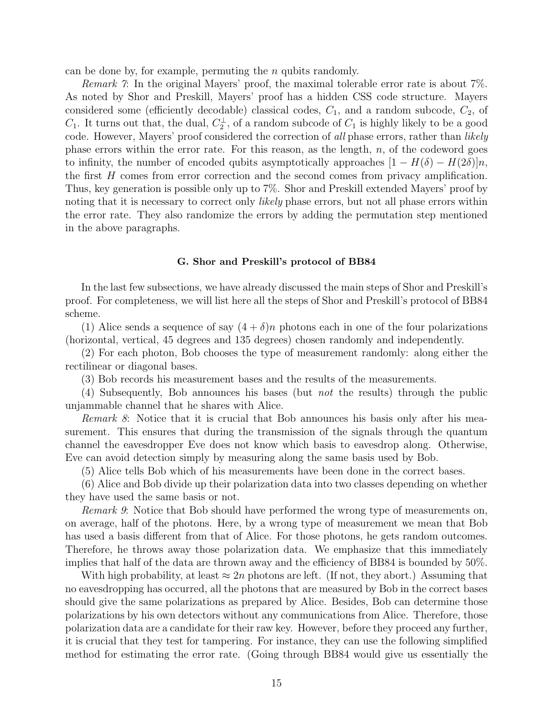<span id="page-14-0"></span>can be done by, for example, permuting the n qubits randomly.

Remark 7: In the original Mayers' proof, the maximal tolerable error rate is about 7%. As noted by Shor and Preskill, Mayers' proof has a hidden CSS code structure. Mayers considered some (efficiently decodable) classical codes,  $C_1$ , and a random subcode,  $C_2$ , of  $C_1$ . It turns out that, the dual,  $C_2^{\perp}$ , of a random subcode of  $C_1$  is highly likely to be a good code. However, Mayers' proof considered the correction of all phase errors, rather than likely phase errors within the error rate. For this reason, as the length,  $n$ , of the codeword goes to infinity, the number of encoded qubits asymptotically approaches  $[1 - H(\delta) - H(2\delta)]n$ , the first H comes from error correction and the second comes from privacy amplification. Thus, key generation is possible only up to 7%. Shor and Preskill extended Mayers' proof by noting that it is necessary to correct only *likely* phase errors, but not all phase errors within the error rate. They also randomize the errors by adding the permutation step mentioned in the above paragraphs.

#### G. Shor and Preskill's protocol of BB84

In the last few subsections, we have already discussed the main steps of Shor and Preskill's proof. For completeness, we will list here all the steps of Shor and Preskill's protocol of BB84 scheme.

(1) Alice sends a sequence of say  $(4 + \delta)n$  photons each in one of the four polarizations (horizontal, vertical, 45 degrees and 135 degrees) chosen randomly and independently.

(2) For each photon, Bob chooses the type of measurement randomly: along either the rectilinear or diagonal bases.

(3) Bob records his measurement bases and the results of the measurements.

(4) Subsequently, Bob announces his bases (but not the results) through the public unjammable channel that he shares with Alice.

Remark 8: Notice that it is crucial that Bob announces his basis only after his measurement. This ensures that during the transmission of the signals through the quantum channel the eavesdropper Eve does not know which basis to eavesdrop along. Otherwise, Eve can avoid detection simply by measuring along the same basis used by Bob.

(5) Alice tells Bob which of his measurements have been done in the correct bases.

(6) Alice and Bob divide up their polarization data into two classes depending on whether they have used the same basis or not.

Remark 9: Notice that Bob should have performed the wrong type of measurements on, on average, half of the photons. Here, by a wrong type of measurement we mean that Bob has used a basis different from that of Alice. For those photons, he gets random outcomes. Therefore, he throws away those polarization data. We emphasize that this immediately implies that half of the data are thrown away and the efficiency of BB84 is bounded by 50%.

With high probability, at least  $\approx 2n$  photons are left. (If not, they abort.) Assuming that no eavesdropping has occurred, all the photons that are measured by Bob in the correct bases should give the same polarizations as prepared by Alice. Besides, Bob can determine those polarizations by his own detectors without any communications from Alice. Therefore, those polarization data are a candidate for their raw key. However, before they proceed any further, it is crucial that they test for tampering. For instance, they can use the following simplified method for estimating the error rate. (Going through BB84 would give us essentially the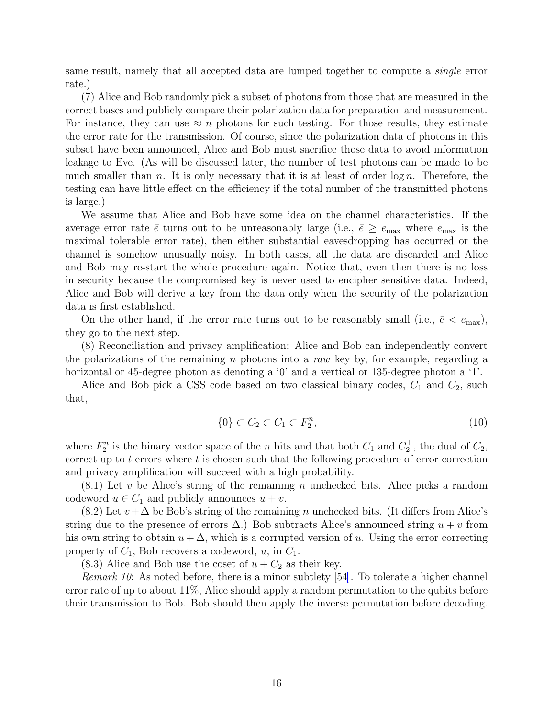<span id="page-15-0"></span>same result, namely that all accepted data are lumped together to compute a single error rate.)

(7) Alice and Bob randomly pick a subset of photons from those that are measured in the correct bases and publicly compare their polarization data for preparation and measurement. For instance, they can use  $\approx n$  photons for such testing. For those results, they estimate the error rate for the transmission. Of course, since the polarization data of photons in this subset have been announced, Alice and Bob must sacrifice those data to avoid information leakage to Eve. (As will be discussed later, the number of test photons can be made to be much smaller than n. It is only necessary that it is at least of order  $\log n$ . Therefore, the testing can have little effect on the efficiency if the total number of the transmitted photons is large.)

We assume that Alice and Bob have some idea on the channel characteristics. If the average error rate  $\bar{e}$  turns out to be unreasonably large (i.e.,  $\bar{e} \ge e_{\text{max}}$  where  $e_{\text{max}}$  is the maximal tolerable error rate), then either substantial eavesdropping has occurred or the channel is somehow unusually noisy. In both cases, all the data are discarded and Alice and Bob may re-start the whole procedure again. Notice that, even then there is no loss in security because the compromised key is never used to encipher sensitive data. Indeed, Alice and Bob will derive a key from the data only when the security of the polarization data is first established.

On the other hand, if the error rate turns out to be reasonably small (i.e.,  $\bar{e} < e_{\text{max}}$ ), they go to the next step.

(8) Reconciliation and privacy amplification: Alice and Bob can independently convert the polarizations of the remaining n photons into a raw key by, for example, regarding a horizontal or 45-degree photon as denoting a '0' and a vertical or 135-degree photon a '1'.

Alice and Bob pick a CSS code based on two classical binary codes,  $C_1$  and  $C_2$ , such that,

$$
\{0\} \subset C_2 \subset C_1 \subset F_2^n,\tag{10}
$$

where  $F_2^n$  is the binary vector space of the *n* bits and that both  $C_1$  and  $C_2^{\perp}$ , the dual of  $C_2$ , correct up to t errors where t is chosen such that the following procedure of error correction and privacy amplification will succeed with a high probability.

 $(8.1)$  Let v be Alice's string of the remaining n unchecked bits. Alice picks a random codeword  $u \in C_1$  and publicly announces  $u + v$ .

 $(8.2)$  Let  $v+\Delta$  be Bob's string of the remaining n unchecked bits. (It differs from Alice's string due to the presence of errors  $\Delta$ .) Bob subtracts Alice's announced string  $u + v$  from his own string to obtain  $u + \Delta$ , which is a corrupted version of u. Using the error correcting property of  $C_1$ , Bob recovers a codeword,  $u$ , in  $C_1$ .

 $(8.3)$  Alice and Bob use the coset of  $u + C_2$  as their key.

Remark10: As noted before, there is a minor subtlety [[54\]](#page-31-0). To tolerate a higher channel error rate of up to about  $11\%$ , Alice should apply a random permutation to the qubits before their transmission to Bob. Bob should then apply the inverse permutation before decoding.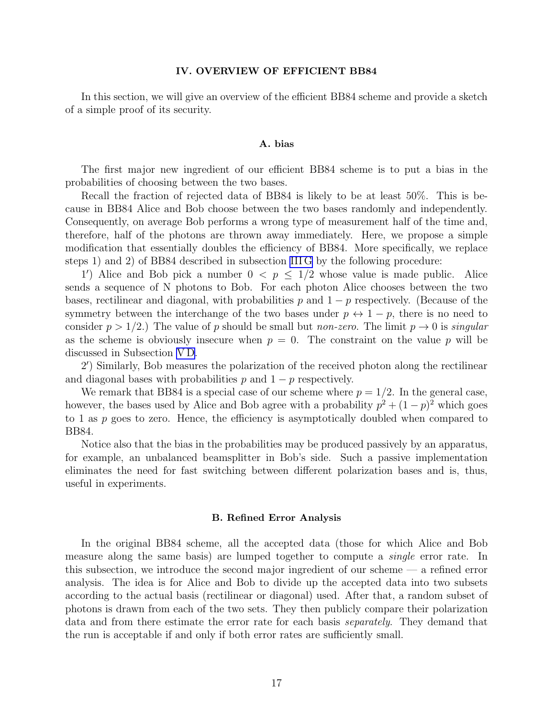### IV. OVERVIEW OF EFFICIENT BB84

In this section, we will give an overview of the efficient BB84 scheme and provide a sketch of a simple proof of its security.

## A. bias

The first major new ingredient of our efficient BB84 scheme is to put a bias in the probabilities of choosing between the two bases.

Recall the fraction of rejected data of BB84 is likely to be at least 50%. This is because in BB84 Alice and Bob choose between the two bases randomly and independently. Consequently, on average Bob performs a wrong type of measurement half of the time and, therefore, half of the photons are thrown away immediately. Here, we propose a simple modification that essentially doubles the efficiency of BB84. More specifically, we replace steps 1) and 2) of BB84 described in subsection [III G](#page-14-0) by the following procedure:

1') Alice and Bob pick a number  $0 \le p \le 1/2$  whose value is made public. Alice sends a sequence of N photons to Bob. For each photon Alice chooses between the two bases, rectilinear and diagonal, with probabilities p and  $1 - p$  respectively. (Because of the symmetry between the interchange of the two bases under  $p \leftrightarrow 1-p$ , there is no need to consider  $p > 1/2$ .) The value of p should be small but non-zero. The limit  $p \to 0$  is singular as the scheme is obviously insecure when  $p = 0$ . The constraint on the value p will be discussed in Subsection [V D.](#page-25-0)

2 ′ ) Similarly, Bob measures the polarization of the received photon along the rectilinear and diagonal bases with probabilities p and  $1 - p$  respectively.

We remark that BB84 is a special case of our scheme where  $p = 1/2$ . In the general case, however, the bases used by Alice and Bob agree with a probability  $p^2 + (1-p)^2$  which goes to 1 as  $p$  goes to zero. Hence, the efficiency is asymptotically doubled when compared to BB84.

Notice also that the bias in the probabilities may be produced passively by an apparatus, for example, an unbalanced beamsplitter in Bob's side. Such a passive implementation eliminates the need for fast switching between different polarization bases and is, thus, useful in experiments.

#### B. Refined Error Analysis

In the original BB84 scheme, all the accepted data (those for which Alice and Bob measure along the same basis) are lumped together to compute a single error rate. In this subsection, we introduce the second major ingredient of our scheme — a refined error analysis. The idea is for Alice and Bob to divide up the accepted data into two subsets according to the actual basis (rectilinear or diagonal) used. After that, a random subset of photons is drawn from each of the two sets. They then publicly compare their polarization data and from there estimate the error rate for each basis separately. They demand that the run is acceptable if and only if both error rates are sufficiently small.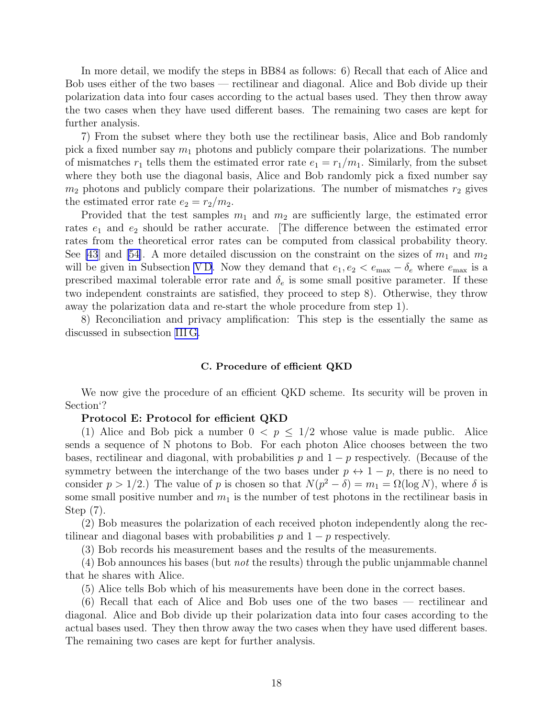In more detail, we modify the steps in BB84 as follows: 6) Recall that each of Alice and Bob uses either of the two bases — rectilinear and diagonal. Alice and Bob divide up their polarization data into four cases according to the actual bases used. They then throw away the two cases when they have used different bases. The remaining two cases are kept for further analysis.

7) From the subset where they both use the rectilinear basis, Alice and Bob randomly pick a fixed number say  $m_1$  photons and publicly compare their polarizations. The number of mismatches  $r_1$  tells them the estimated error rate  $e_1 = r_1/m_1$ . Similarly, from the subset where they both use the diagonal basis, Alice and Bob randomly pick a fixed number say  $m_2$  photons and publicly compare their polarizations. The number of mismatches  $r_2$  gives the estimated error rate  $e_2 = r_2/m_2$ .

Provided that the test samples  $m_1$  and  $m_2$  are sufficiently large, the estimated error rates  $e_1$  and  $e_2$  should be rather accurate. The difference between the estimated error rates from the theoretical error rates can be computed from classical probability theory. See [\[43](#page-30-0)] and [\[54\]](#page-31-0). A more detailed discussion on the constraint on the sizes of  $m_1$  and  $m_2$ will be given in Subsection VD. Now they demand that  $e_1, e_2 < e_{\text{max}} - \delta_e$  where  $e_{\text{max}}$  is a prescribed maximal tolerable error rate and  $\delta_e$  is some small positive parameter. If these two independent constraints are satisfied, they proceed to step 8). Otherwise, they throw away the polarization data and re-start the whole procedure from step 1).

8) Reconciliation and privacy amplification: This step is the essentially the same as discussed in subsection [III G.](#page-14-0)

#### C. Procedure of efficient QKD

We now give the procedure of an efficient QKD scheme. Its security will be proven in Section'?

#### Protocol E: Protocol for efficient QKD

(1) Alice and Bob pick a number  $0 < p \leq 1/2$  whose value is made public. Alice sends a sequence of N photons to Bob. For each photon Alice chooses between the two bases, rectilinear and diagonal, with probabilities p and  $1 - p$  respectively. (Because of the symmetry between the interchange of the two bases under  $p \leftrightarrow 1-p$ , there is no need to consider  $p > 1/2$ .) The value of p is chosen so that  $N(p^2 - \delta) = m_1 = \Omega(\log N)$ , where  $\delta$  is some small positive number and  $m_1$  is the number of test photons in the rectilinear basis in Step (7).

(2) Bob measures the polarization of each received photon independently along the rectilinear and diagonal bases with probabilities p and  $1 - p$  respectively.

(3) Bob records his measurement bases and the results of the measurements.

 $(4)$  Bob announces his bases (but *not* the results) through the public unjammable channel that he shares with Alice.

(5) Alice tells Bob which of his measurements have been done in the correct bases.

(6) Recall that each of Alice and Bob uses one of the two bases — rectilinear and diagonal. Alice and Bob divide up their polarization data into four cases according to the actual bases used. They then throw away the two cases when they have used different bases. The remaining two cases are kept for further analysis.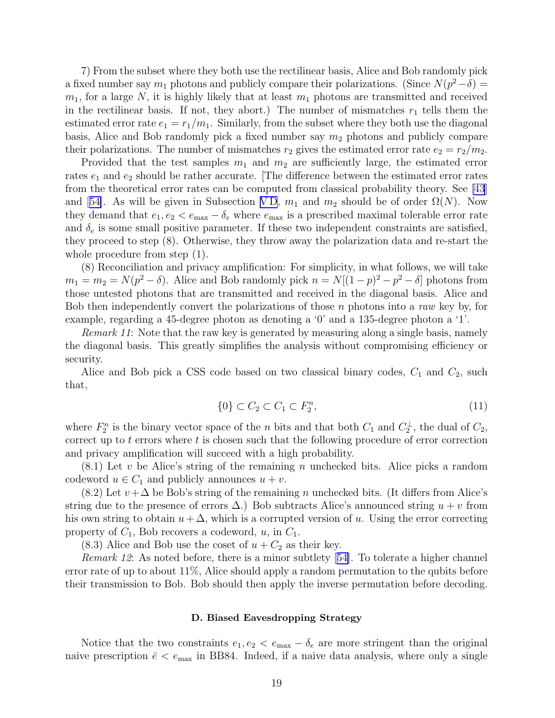7) From the subset where they both use the rectilinear basis, Alice and Bob randomly pick a fixed number say  $m_1$  photons and publicly compare their polarizations. (Since  $N(p^2 - \delta)$  =  $m_1$ , for a large N, it is highly likely that at least  $m_1$  photons are transmitted and received in the rectilinear basis. If not, they abort.) The number of mismatches  $r_1$  tells them the estimated error rate  $e_1 = r_1/m_1$ . Similarly, from the subset where they both use the diagonal basis, Alice and Bob randomly pick a fixed number say  $m_2$  photons and publicly compare their polarizations. The number of mismatches  $r_2$  gives the estimated error rate  $e_2 = r_2/m_2$ .

Provided that the test samples  $m_1$  and  $m_2$  are sufficiently large, the estimated error rates  $e_1$  and  $e_2$  should be rather accurate. The difference between the estimated error rates from the theoretical error rates can be computed from classical probability theory. See [\[43](#page-30-0)] and[[54\]](#page-31-0). As will be given in Subsection VD,  $m_1$  and  $m_2$  should be of order  $\Omega(N)$ . Now they demand that  $e_1, e_2 < e_{\text{max}} - \delta_e$  where  $e_{\text{max}}$  is a prescribed maximal tolerable error rate and  $\delta_e$  is some small positive parameter. If these two independent constraints are satisfied, they proceed to step (8). Otherwise, they throw away the polarization data and re-start the whole procedure from step  $(1)$ .

(8) Reconciliation and privacy amplification: For simplicity, in what follows, we will take  $m_1 = m_2 = N(p^2 - \delta)$ . Alice and Bob randomly pick  $n = N[(1-p)^2 - p^2 - \delta]$  photons from those untested photons that are transmitted and received in the diagonal basis. Alice and Bob then independently convert the polarizations of those  $n$  photons into a raw key by, for example, regarding a 45-degree photon as denoting a '0' and a 135-degree photon a '1'.

Remark 11: Note that the raw key is generated by measuring along a single basis, namely the diagonal basis. This greatly simplifies the analysis without compromising efficiency or security.

Alice and Bob pick a CSS code based on two classical binary codes,  $C_1$  and  $C_2$ , such that,

$$
\{0\} \subset C_2 \subset C_1 \subset F_2^n,\tag{11}
$$

where  $F_2^n$  is the binary vector space of the *n* bits and that both  $C_1$  and  $C_2^{\perp}$ , the dual of  $C_2$ , correct up to t errors where t is chosen such that the following procedure of error correction and privacy amplification will succeed with a high probability.

 $(8.1)$  Let v be Alice's string of the remaining n unchecked bits. Alice picks a random codeword  $u \in C_1$  and publicly announces  $u + v$ .

 $(8.2)$  Let  $v + \Delta$  be Bob's string of the remaining n unchecked bits. (It differs from Alice's string due to the presence of errors  $\Delta$ .) Bob subtracts Alice's announced string  $u + v$  from his own string to obtain  $u + \Delta$ , which is a corrupted version of u. Using the error correcting property of  $C_1$ , Bob recovers a codeword,  $u$ , in  $C_1$ .

 $(8.3)$  Alice and Bob use the coset of  $u + C_2$  as their key.

Remark12: As noted before, there is a minor subtlety [[54\]](#page-31-0). To tolerate a higher channel error rate of up to about  $11\%$ , Alice should apply a random permutation to the qubits before their transmission to Bob. Bob should then apply the inverse permutation before decoding.

# D. Biased Eavesdropping Strategy

Notice that the two constraints  $e_1, e_2 < e_{\text{max}} - \delta_e$  are more stringent than the original naive prescription  $\bar{e} < e_{\text{max}}$  in BB84. Indeed, if a naive data analysis, where only a single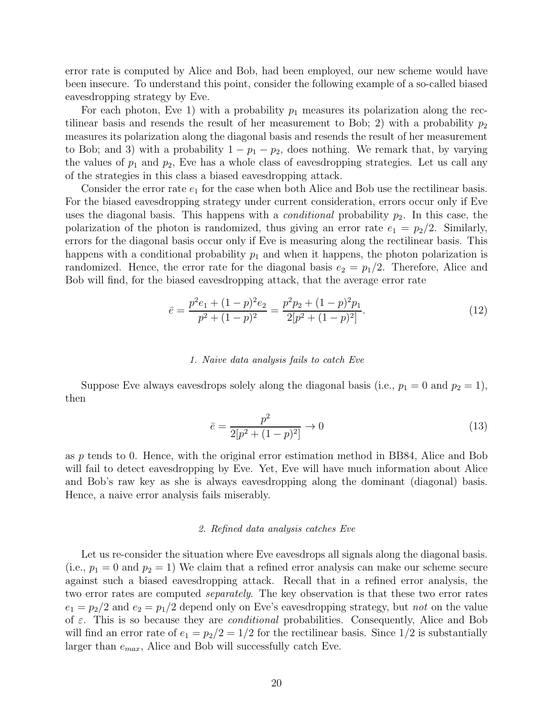error rate is computed by Alice and Bob, had been employed, our new scheme would have been insecure. To understand this point, consider the following example of a so-called biased eavesdropping strategy by Eve.

For each photon, Eve 1) with a probability  $p_1$  measures its polarization along the rectilinear basis and resends the result of her measurement to Bob; 2) with a probability  $p_2$ measures its polarization along the diagonal basis and resends the result of her measurement to Bob; and 3) with a probability  $1 - p_1 - p_2$ , does nothing. We remark that, by varying the values of  $p_1$  and  $p_2$ , Eve has a whole class of eavesdropping strategies. Let us call any of the strategies in this class a biased eavesdropping attack.

Consider the error rate  $e_1$  for the case when both Alice and Bob use the rectilinear basis. For the biased eavesdropping strategy under current consideration, errors occur only if Eve uses the diagonal basis. This happens with a *conditional* probability  $p_2$ . In this case, the polarization of the photon is randomized, thus giving an error rate  $e_1 = p_2/2$ . Similarly, errors for the diagonal basis occur only if Eve is measuring along the rectilinear basis. This happens with a conditional probability  $p_1$  and when it happens, the photon polarization is randomized. Hence, the error rate for the diagonal basis  $e_2 = p_1/2$ . Therefore, Alice and Bob will find, for the biased eavesdropping attack, that the average error rate

$$
\bar{e} = \frac{p^2 e_1 + (1 - p)^2 e_2}{p^2 + (1 - p)^2} = \frac{p^2 p_2 + (1 - p)^2 p_1}{2[p^2 + (1 - p)^2]}.
$$
\n(12)

#### 1. Naive data analysis fails to catch Eve

Suppose Eve always eavesdrops solely along the diagonal basis (i.e.,  $p_1 = 0$  and  $p_2 = 1$ ), then

$$
\bar{e} = \frac{p^2}{2[p^2 + (1-p)^2]} \to 0 \tag{13}
$$

as p tends to 0. Hence, with the original error estimation method in BB84, Alice and Bob will fail to detect eavesdropping by Eve. Yet, Eve will have much information about Alice and Bob's raw key as she is always eavesdropping along the dominant (diagonal) basis. Hence, a naive error analysis fails miserably.

# 2. Refined data analysis catches Eve

Let us re-consider the situation where Eve eavesdrops all signals along the diagonal basis. (i.e.,  $p_1 = 0$  and  $p_2 = 1$ ) We claim that a refined error analysis can make our scheme secure against such a biased eavesdropping attack. Recall that in a refined error analysis, the two error rates are computed separately. The key observation is that these two error rates  $e_1 = p_2/2$  and  $e_2 = p_1/2$  depend only on Eve's eavesdropping strategy, but not on the value of  $\varepsilon$ . This is so because they are *conditional* probabilities. Consequently, Alice and Bob will find an error rate of  $e_1 = p_2/2 = 1/2$  for the rectilinear basis. Since  $1/2$  is substantially larger than  $e_{max}$ , Alice and Bob will successfully catch Eve.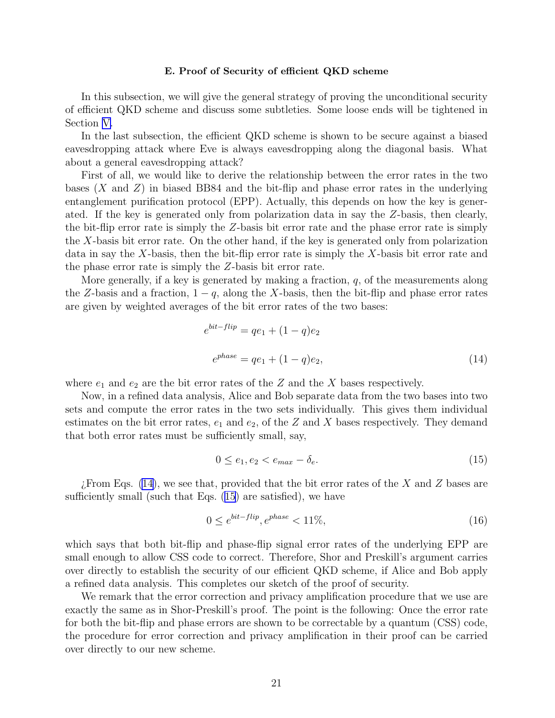#### E. Proof of Security of efficient QKD scheme

In this subsection, we will give the general strategy of proving the unconditional security of efficient QKD scheme and discuss some subtleties. Some loose ends will be tightened in Section [V.](#page-21-0)

In the last subsection, the efficient QKD scheme is shown to be secure against a biased eavesdropping attack where Eve is always eavesdropping along the diagonal basis. What about a general eavesdropping attack?

First of all, we would like to derive the relationship between the error rates in the two bases  $(X \text{ and } Z)$  in biased BB84 and the bit-flip and phase error rates in the underlying entanglement purification protocol (EPP). Actually, this depends on how the key is generated. If the key is generated only from polarization data in say the Z-basis, then clearly, the bit-flip error rate is simply the Z-basis bit error rate and the phase error rate is simply the X-basis bit error rate. On the other hand, if the key is generated only from polarization data in say the X-basis, then the bit-flip error rate is simply the X-basis bit error rate and the phase error rate is simply the Z-basis bit error rate.

More generally, if a key is generated by making a fraction,  $q$ , of the measurements along the Z-basis and a fraction,  $1 - q$ , along the X-basis, then the bit-flip and phase error rates are given by weighted averages of the bit error rates of the two bases:

$$
e^{bit-flip} = qe_1 + (1 - q)e_2
$$
  

$$
e^{phase} = qe_1 + (1 - q)e_2,
$$
 (14)

where  $e_1$  and  $e_2$  are the bit error rates of the Z and the X bases respectively.

Now, in a refined data analysis, Alice and Bob separate data from the two bases into two sets and compute the error rates in the two sets individually. This gives them individual estimates on the bit error rates,  $e_1$  and  $e_2$ , of the Z and X bases respectively. They demand that both error rates must be sufficiently small, say,

$$
0 \le e_1, e_2 < e_{\text{max}} - \delta_e. \tag{15}
$$

From Eqs. (14), we see that, provided that the bit error rates of the X and Z bases are sufficiently small (such that Eqs. (15) are satisfied), we have

$$
0 \le e^{bit-flip}, e^{phase} < 11\%,\tag{16}
$$

which says that both bit-flip and phase-flip signal error rates of the underlying EPP are small enough to allow CSS code to correct. Therefore, Shor and Preskill's argument carries over directly to establish the security of our efficient QKD scheme, if Alice and Bob apply a refined data analysis. This completes our sketch of the proof of security.

We remark that the error correction and privacy amplification procedure that we use are exactly the same as in Shor-Preskill's proof. The point is the following: Once the error rate for both the bit-flip and phase errors are shown to be correctable by a quantum (CSS) code, the procedure for error correction and privacy amplification in their proof can be carried over directly to our new scheme.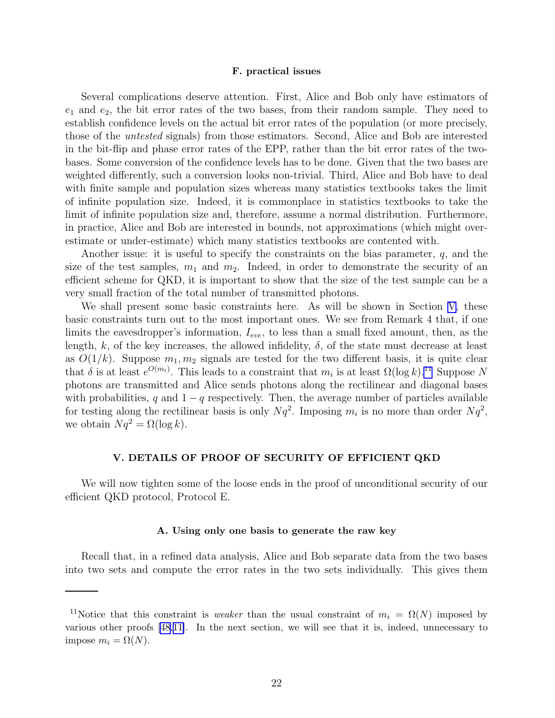#### F. practical issues

<span id="page-21-0"></span>Several complications deserve attention. First, Alice and Bob only have estimators of  $e_1$  and  $e_2$ , the bit error rates of the two bases, from their random sample. They need to establish confidence levels on the actual bit error rates of the population (or more precisely, those of the untested signals) from those estimators. Second, Alice and Bob are interested in the bit-flip and phase error rates of the EPP, rather than the bit error rates of the twobases. Some conversion of the confidence levels has to be done. Given that the two bases are weighted differently, such a conversion looks non-trivial. Third, Alice and Bob have to deal with finite sample and population sizes whereas many statistics textbooks takes the limit of infinite population size. Indeed, it is commonplace in statistics textbooks to take the limit of infinite population size and, therefore, assume a normal distribution. Furthermore, in practice, Alice and Bob are interested in bounds, not approximations (which might overestimate or under-estimate) which many statistics textbooks are contented with.

Another issue: it is useful to specify the constraints on the bias parameter,  $q$ , and the size of the test samples,  $m_1$  and  $m_2$ . Indeed, in order to demonstrate the security of an efficient scheme for QKD, it is important to show that the size of the test sample can be a very small fraction of the total number of transmitted photons.

We shall present some basic constraints here. As will be shown in Section V, these basic constraints turn out to the most important ones. We see from Remark 4 that, if one limits the eavesdropper's information,  $I_{eve}$ , to less than a small fixed amount, then, as the length, k, of the key increases, the allowed infidelity,  $\delta$ , of the state must decrease at least as  $O(1/k)$ . Suppose  $m_1, m_2$  signals are tested for the two different basis, it is quite clear that  $\delta$  is at least  $e^{O(m_i)}$ . This leads to a constraint that  $m_i$  is at least  $\Omega(\log k)$ .<sup>11</sup> Suppose N photons are transmitted and Alice sends photons along the rectilinear and diagonal bases with probabilities, q and  $1 - q$  respectively. Then, the average number of particles available for testing along the rectilinear basis is only  $Nq^2$ . Imposing  $m_i$  is no more than order  $Nq^2$ , we obtain  $Nq^2 = \Omega(\log k)$ .

#### V. DETAILS OF PROOF OF SECURITY OF EFFICIENT QKD

We will now tighten some of the loose ends in the proof of unconditional security of our efficient QKD protocol, Protocol E.

#### A. Using only one basis to generate the raw key

Recall that, in a refined data analysis, Alice and Bob separate data from the two bases into two sets and compute the error rates in the two sets individually. This gives them

<sup>&</sup>lt;sup>11</sup>Notice that this constraint is *weaker* than the usual constraint of  $m_i = \Omega(N)$  imposed by various other proofs [\[48,](#page-31-0)[11\]](#page-29-0). In the next section, we will see that it is, indeed, unnecessary to impose  $m_i = \Omega(N)$ .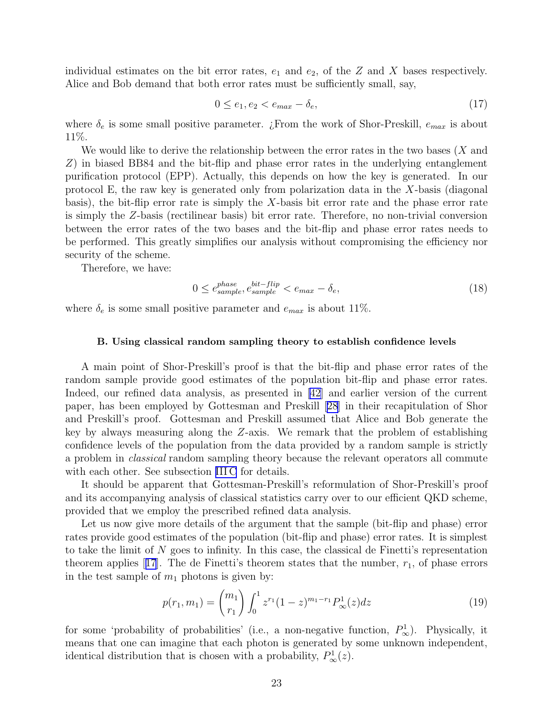individual estimates on the bit error rates,  $e_1$  and  $e_2$ , of the Z and X bases respectively. Alice and Bob demand that both error rates must be sufficiently small, say,

$$
0 \le e_1, e_2 < e_{max} - \delta_e,\tag{17}
$$

where  $\delta_e$  is some small positive parameter. ¿From the work of Shor-Preskill,  $e_{max}$  is about 11%.

We would like to derive the relationship between the error rates in the two bases  $(X \text{ and } Y)$ Z) in biased BB84 and the bit-flip and phase error rates in the underlying entanglement purification protocol (EPP). Actually, this depends on how the key is generated. In our protocol E, the raw key is generated only from polarization data in the X-basis (diagonal basis), the bit-flip error rate is simply the X-basis bit error rate and the phase error rate is simply the Z-basis (rectilinear basis) bit error rate. Therefore, no non-trivial conversion between the error rates of the two bases and the bit-flip and phase error rates needs to be performed. This greatly simplifies our analysis without compromising the efficiency nor security of the scheme.

Therefore, we have:

$$
0 \le e_{sample}^{phase}, e_{sample}^{bit-flip} < e_{max} - \delta_e,\tag{18}
$$

where  $\delta_e$  is some small positive parameter and  $e_{max}$  is about 11%.

#### B. Using classical random sampling theory to establish confidence levels

A main point of Shor-Preskill's proof is that the bit-flip and phase error rates of the random sample provide good estimates of the population bit-flip and phase error rates. Indeed, our refined data analysis, as presented in [\[42](#page-30-0)] and earlier version of the current paper, has been employed by Gottesman and Preskill [\[28\]](#page-30-0) in their recapitulation of Shor and Preskill's proof. Gottesman and Preskill assumed that Alice and Bob generate the key by always measuring along the Z-axis. We remark that the problem of establishing confidence levels of the population from the data provided by a random sample is strictly a problem in classical random sampling theory because the relevant operators all commute with each other. See subsection [III C](#page-7-0) for details.

It should be apparent that Gottesman-Preskill's reformulation of Shor-Preskill's proof and its accompanying analysis of classical statistics carry over to our efficient QKD scheme, provided that we employ the prescribed refined data analysis.

Let us now give more details of the argument that the sample (bit-flip and phase) error rates provide good estimates of the population (bit-flip and phase) error rates. It is simplest to take the limit of  $N$  goes to infinity. In this case, the classical de Finetti's representation theoremapplies [[17](#page-29-0)]. The de Finetti's theorem states that the number,  $r_1$ , of phase errors in the test sample of  $m_1$  photons is given by:

$$
p(r_1, m_1) = {m_1 \choose r_1} \int_0^1 z^{r_1} (1-z)^{m_1-r_1} P_\infty^1(z) dz
$$
 (19)

for some 'probability of probabilities' (i.e., a non-negative function,  $P^1_{\infty}$ ). Physically, it means that one can imagine that each photon is generated by some unknown independent, identical distribution that is chosen with a probability,  $P^1_{\infty}(z)$ .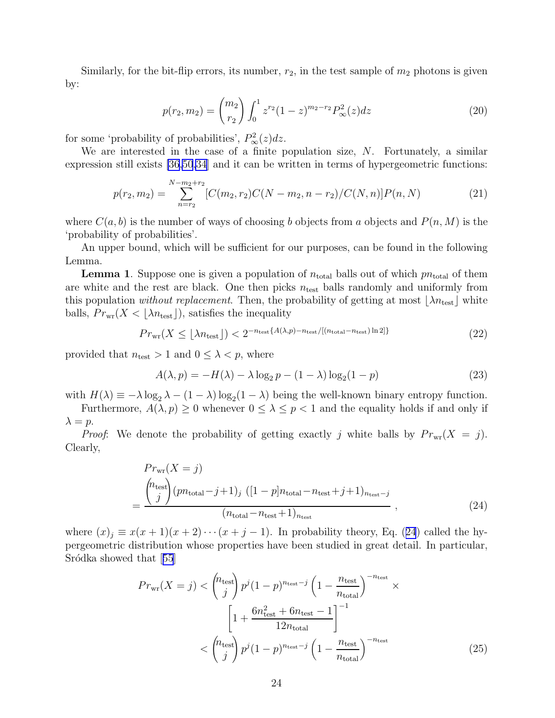<span id="page-23-0"></span>Similarly, for the bit-flip errors, its number,  $r_2$ , in the test sample of  $m_2$  photons is given by:

$$
p(r_2, m_2) = {m_2 \choose r_2} \int_0^1 z^{r_2} (1-z)^{m_2-r_2} P_\infty^2(z) dz
$$
 (20)

for some 'probability of probabilities',  $P^2_{\infty}(z)dz$ .

We are interested in the case of a finite population size, N. Fortunately, a similar expression still exists [\[36](#page-30-0)[,50](#page-31-0)[,34](#page-30-0)] and it can be written in terms of hypergeometric functions:

$$
p(r_2, m_2) = \sum_{n=r_2}^{N-m_2+r_2} [C(m_2, r_2)C(N - m_2, n - r_2)/C(N, n)]P(n, N)
$$
\n(21)

where  $C(a, b)$  is the number of ways of choosing b objects from a objects and  $P(n, M)$  is the 'probability of probabilities'.

An upper bound, which will be sufficient for our purposes, can be found in the following Lemma.

**Lemma 1.** Suppose one is given a population of  $n_{\text{total}}$  balls out of which  $pn_{\text{total}}$  of them are white and the rest are black. One then picks  $n_{\text{test}}$  balls randomly and uniformly from this population without replacement. Then, the probability of getting at most  $\lfloor \lambda n_{\text{test}} \rfloor$  white balls,  $Pr_{wr}(X < |\lambda n_{test}|)$ , satisfies the inequality

$$
Pr_{\text{wr}}(X \le \lfloor \lambda n_{\text{test}} \rfloor) < 2^{-n_{\text{test}}\{A(\lambda, p) - n_{\text{test}}/[(n_{\text{total}} - n_{\text{test}})\ln 2]\}}\tag{22}
$$

provided that  $n_{\text{test}} > 1$  and  $0 \leq \lambda < p$ , where

$$
A(\lambda, p) = -H(\lambda) - \lambda \log_2 p - (1 - \lambda) \log_2 (1 - p)
$$
\n(23)

with  $H(\lambda) \equiv -\lambda \log_2 \lambda - (1 - \lambda) \log_2 (1 - \lambda)$  being the well-known binary entropy function.

Furthermore, 
$$
A(\lambda, p) \ge 0
$$
 whenever  $0 \le \lambda \le p < 1$  and the equality holds if and only if  $\lambda = p$ .

*Proof*: We denote the probability of getting exactly j white balls by  $Pr_{wr}(X = j)$ . Clearly,

$$
Pr_{\text{wr}}(X = j)
$$

$$
= \frac{\binom{n_{\text{test}}}{j}(pn_{\text{total}} - j + 1)_{j} \left( [1 - p]n_{\text{total}} - n_{\text{test}} + j + 1 \right)_{n_{\text{test}} - j}}{(n_{\text{total}} - n_{\text{test}} + 1)_{n_{\text{test}}}},
$$
(24)

where  $(x)_j \equiv x(x+1)(x+2)\cdots(x+j-1)$ . In probability theory, Eq. (24) called the hypergeometric distribution whose properties have been studied in great detail. In particular, Sródkashowed that [[55](#page-31-0)]

$$
Pr_{\text{wr}}(X = j) < {n_{\text{test}}} \choose j} p^j (1-p)^{n_{\text{test}}-j} \left(1 - \frac{n_{\text{test}}}{n_{\text{total}}}\right)^{-n_{\text{test}}} \times \left[1 + \frac{6n_{\text{test}}^2 + 6n_{\text{test}} - 1}{12n_{\text{total}}}\right]^{-1} \times \left(\binom{n_{\text{test}}}{j} p^j (1-p)^{n_{\text{test}}-j} \left(1 - \frac{n_{\text{test}}}{n_{\text{total}}}\right)^{-n_{\text{test}}} \tag{25}
$$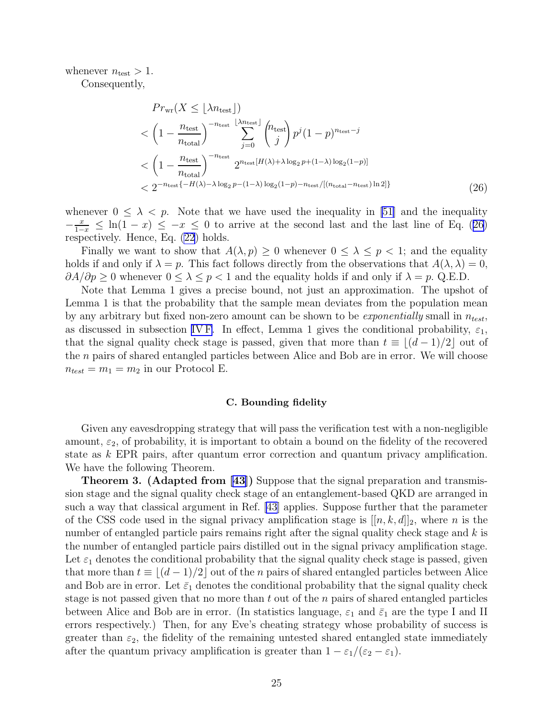whenever  $n_{\text{test}} > 1$ .

Consequently,

$$
Pr_{\text{wr}}(X \leq \lfloor \lambda n_{\text{test}} \rfloor)
$$
  
< 
$$
\left(1 - \frac{n_{\text{test}}}{n_{\text{total}}}\right)^{-n_{\text{test}}} \sum_{j=0}^{\lfloor \lambda n_{\text{test}} \rfloor} {n_{\text{test}} \choose j} p^j (1-p)^{n_{\text{test}}-j}
$$
  
< 
$$
\left(1 - \frac{n_{\text{test}}}{n_{\text{total}}}\right)^{-n_{\text{test}}} 2^{n_{\text{test}}[H(\lambda) + \lambda \log_2 p + (1-\lambda) \log_2(1-p)]}
$$
  
< 
$$
< 2^{-n_{\text{test}}\{-H(\lambda) - \lambda \log_2 p - (1-\lambda) \log_2(1-p) - n_{\text{test}}/[(n_{\text{total}}-n_{\text{test}})\ln 2]\}}
$$
(26)

whenever  $0 \leq \lambda \leq p$ . Note that we have used the inequality in [\[51\]](#page-31-0) and the inequality  $-\frac{x}{1-x} \leq \ln(1-x) \leq -x \leq 0$  to arrive at the second last and the last line of Eq. (26) respectively. Hence, Eq. [\(22](#page-23-0)) holds.

Finally we want to show that  $A(\lambda, p) \geq 0$  whenever  $0 \leq \lambda \leq p < 1$ ; and the equality holds if and only if  $\lambda = p$ . This fact follows directly from the observations that  $A(\lambda, \lambda) = 0$ ,  $\partial A/\partial p \geq 0$  whenever  $0 \leq \lambda \leq p < 1$  and the equality holds if and only if  $\lambda = p$ . Q.E.D.

Note that Lemma 1 gives a precise bound, not just an approximation. The upshot of Lemma 1 is that the probability that the sample mean deviates from the population mean by any arbitrary but fixed non-zero amount can be shown to be *exponentially* small in  $n_{test}$ , as discussed in subsection [IV F.](#page-21-0) In effect, Lemma 1 gives the conditional probability,  $\varepsilon_1$ , that the signal quality check stage is passed, given that more than  $t \equiv |(d-1)/2|$  out of the n pairs of shared entangled particles between Alice and Bob are in error. We will choose  $n_{test} = m_1 = m_2$  in our Protocol E.

#### C. Bounding fidelity

Given any eavesdropping strategy that will pass the verification test with a non-negligible amount,  $\varepsilon_2$ , of probability, it is important to obtain a bound on the fidelity of the recovered state as k EPR pairs, after quantum error correction and quantum privacy amplification. We have the following Theorem.

Theorem 3. (Adapted from [\[43\]](#page-30-0)) Suppose that the signal preparation and transmission stage and the signal quality check stage of an entanglement-based QKD are arranged in such a way that classical argument in Ref. [\[43](#page-30-0)] applies. Suppose further that the parameter of the CSS code used in the signal privacy amplification stage is  $[[n, k, d]]_2$ , where n is the number of entangled particle pairs remains right after the signal quality check stage and k is the number of entangled particle pairs distilled out in the signal privacy amplification stage. Let  $\varepsilon_1$  denotes the conditional probability that the signal quality check stage is passed, given that more than  $t \equiv |(d-1)/2|$  out of the n pairs of shared entangled particles between Alice and Bob are in error. Let  $\bar{\varepsilon}_1$  denotes the conditional probability that the signal quality check stage is not passed given that no more than  $t$  out of the  $n$  pairs of shared entangled particles between Alice and Bob are in error. (In statistics language,  $\varepsilon_1$  and  $\bar{\varepsilon}_1$  are the type I and II errors respectively.) Then, for any Eve's cheating strategy whose probability of success is greater than  $\varepsilon_2$ , the fidelity of the remaining untested shared entangled state immediately after the quantum privacy amplification is greater than  $1 - \varepsilon_1/(\varepsilon_2 - \varepsilon_1)$ .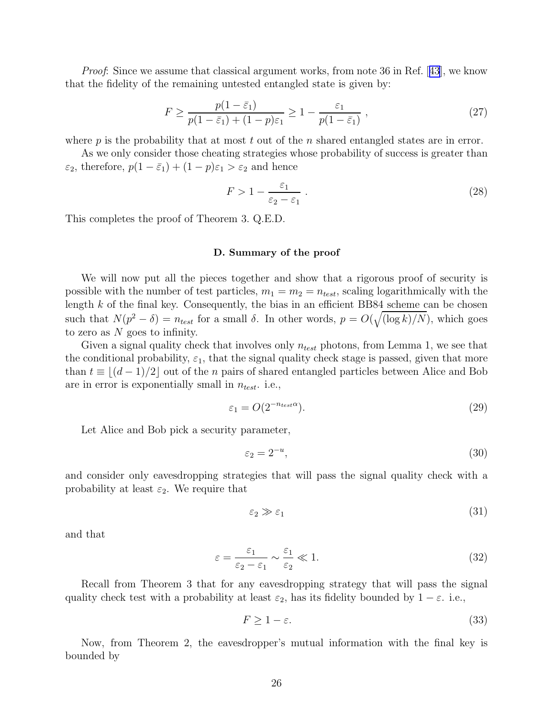<span id="page-25-0"></span>Proof:Since we assume that classical argument works, from note 36 in Ref. [[43](#page-30-0)], we know that the fidelity of the remaining untested entangled state is given by:

$$
F \ge \frac{p(1-\bar{\varepsilon}_1)}{p(1-\bar{\varepsilon}_1) + (1-p)\varepsilon_1} \ge 1 - \frac{\varepsilon_1}{p(1-\bar{\varepsilon}_1)},
$$
\n(27)

where  $p$  is the probability that at most  $t$  out of the  $n$  shared entangled states are in error.

As we only consider those cheating strategies whose probability of success is greater than  $\varepsilon_2$ , therefore,  $p(1 - \bar{\varepsilon}_1) + (1 - p)\varepsilon_1 > \varepsilon_2$  and hence

$$
F > 1 - \frac{\varepsilon_1}{\varepsilon_2 - \varepsilon_1} \,. \tag{28}
$$

This completes the proof of Theorem 3. Q.E.D.

#### D. Summary of the proof

We will now put all the pieces together and show that a rigorous proof of security is possible with the number of test particles,  $m_1 = m_2 = n_{test}$ , scaling logarithmically with the length  $k$  of the final key. Consequently, the bias in an efficient BB84 scheme can be chosen such that  $N(p^2 - \delta) = n_{test}$  for a small  $\delta$ . In other words,  $p = O(\sqrt{(\log k)/N})$ , which goes to zero as N goes to infinity.

Given a signal quality check that involves only  $n_{test}$  photons, from Lemma 1, we see that the conditional probability,  $\varepsilon_1$ , that the signal quality check stage is passed, given that more than  $t \equiv \lfloor (d-1)/2 \rfloor$  out of the *n* pairs of shared entangled particles between Alice and Bob are in error is exponentially small in  $n_{test}$ . i.e.,

$$
\varepsilon_1 = O(2^{-n_{test}\alpha}).\tag{29}
$$

Let Alice and Bob pick a security parameter,

$$
\varepsilon_2 = 2^{-u},\tag{30}
$$

and consider only eavesdropping strategies that will pass the signal quality check with a probability at least  $\varepsilon_2$ . We require that

$$
\varepsilon_2 \gg \varepsilon_1 \tag{31}
$$

and that

$$
\varepsilon = \frac{\varepsilon_1}{\varepsilon_2 - \varepsilon_1} \sim \frac{\varepsilon_1}{\varepsilon_2} \ll 1.
$$
\n(32)

Recall from Theorem 3 that for any eavesdropping strategy that will pass the signal quality check test with a probability at least  $\varepsilon_2$ , has its fidelity bounded by  $1 - \varepsilon$ . i.e.,

$$
F \ge 1 - \varepsilon. \tag{33}
$$

Now, from Theorem 2, the eavesdropper's mutual information with the final key is bounded by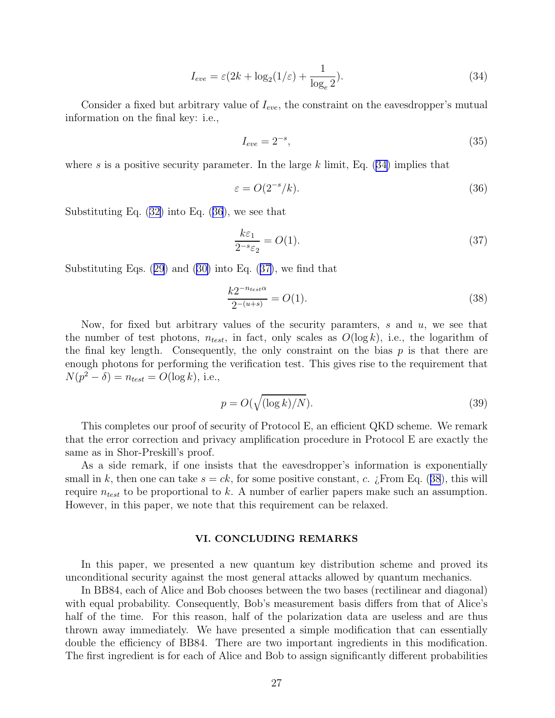$$
I_{eve} = \varepsilon (2k + \log_2(1/\varepsilon) + \frac{1}{\log_e 2}).\tag{34}
$$

<span id="page-26-0"></span>Consider a fixed but arbitrary value of  $I_{eve}$ , the constraint on the eavesdropper's mutual information on the final key: i.e.,

$$
I_{eve} = 2^{-s},\tag{35}
$$

where s is a positive security parameter. In the large k limit, Eq.  $(34)$  implies that

$$
\varepsilon = O(2^{-s}/k). \tag{36}
$$

Substituting Eq.([32\)](#page-25-0) into Eq. (36), we see that

$$
\frac{k\varepsilon_1}{2^{-s}\varepsilon_2} = O(1). \tag{37}
$$

Substituting Eqs.([29](#page-25-0)) and([30\)](#page-25-0) into Eq. (37), we find that

$$
\frac{k2^{-n_{test}\alpha}}{2^{-(u+s)}} = O(1). \tag{38}
$$

Now, for fixed but arbitrary values of the security paramters, s and u, we see that the number of test photons,  $n_{test}$ , in fact, only scales as  $O(\log k)$ , i.e., the logarithm of the final key length. Consequently, the only constraint on the bias  $p$  is that there are enough photons for performing the verification test. This gives rise to the requirement that  $N(p^2 - \delta) = n_{test} = O(\log k), \text{ i.e.,}$ 

$$
p = O(\sqrt{(\log k)/N}).\tag{39}
$$

This completes our proof of security of Protocol E, an efficient QKD scheme. We remark that the error correction and privacy amplification procedure in Protocol E are exactly the same as in Shor-Preskill's proof.

As a side remark, if one insists that the eavesdropper's information is exponentially small in k, then one can take  $s = ck$ , for some positive constant, c. ¿From Eq. (38), this will require  $n_{test}$  to be proportional to k. A number of earlier papers make such an assumption. However, in this paper, we note that this requirement can be relaxed.

# VI. CONCLUDING REMARKS

In this paper, we presented a new quantum key distribution scheme and proved its unconditional security against the most general attacks allowed by quantum mechanics.

In BB84, each of Alice and Bob chooses between the two bases (rectilinear and diagonal) with equal probability. Consequently, Bob's measurement basis differs from that of Alice's half of the time. For this reason, half of the polarization data are useless and are thus thrown away immediately. We have presented a simple modification that can essentially double the efficiency of BB84. There are two important ingredients in this modification. The first ingredient is for each of Alice and Bob to assign significantly different probabilities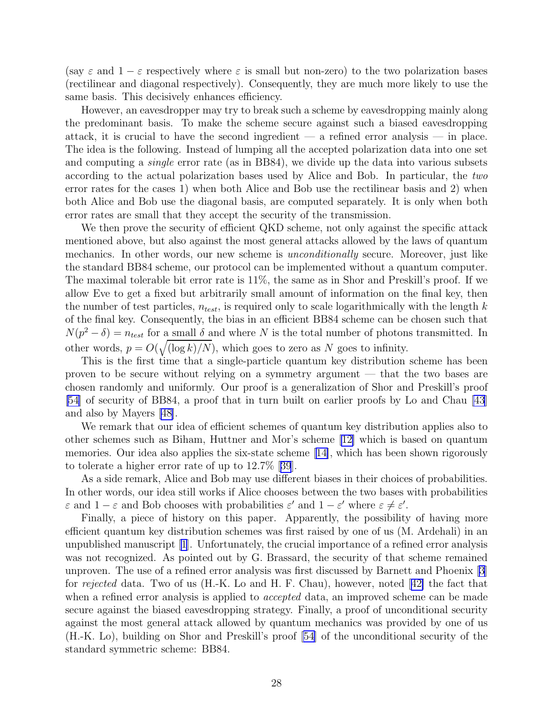(say  $\varepsilon$  and  $1 - \varepsilon$  respectively where  $\varepsilon$  is small but non-zero) to the two polarization bases (rectilinear and diagonal respectively). Consequently, they are much more likely to use the same basis. This decisively enhances efficiency.

However, an eavesdropper may try to break such a scheme by eavesdropping mainly along the predominant basis. To make the scheme secure against such a biased eavesdropping attack, it is crucial to have the second ingredient  $-$  a refined error analysis  $-$  in place. The idea is the following. Instead of lumping all the accepted polarization data into one set and computing a single error rate (as in BB84), we divide up the data into various subsets according to the actual polarization bases used by Alice and Bob. In particular, the two error rates for the cases 1) when both Alice and Bob use the rectilinear basis and 2) when both Alice and Bob use the diagonal basis, are computed separately. It is only when both error rates are small that they accept the security of the transmission.

We then prove the security of efficient QKD scheme, not only against the specific attack mentioned above, but also against the most general attacks allowed by the laws of quantum mechanics. In other words, our new scheme is *unconditionally* secure. Moreover, just like the standard BB84 scheme, our protocol can be implemented without a quantum computer. The maximal tolerable bit error rate is 11%, the same as in Shor and Preskill's proof. If we allow Eve to get a fixed but arbitrarily small amount of information on the final key, then the number of test particles,  $n_{test}$ , is required only to scale logarithmically with the length k of the final key. Consequently, the bias in an efficient BB84 scheme can be chosen such that  $N(p^2 - \delta) = n_{test}$  for a small  $\delta$  and where N is the total number of photons transmitted. In other words,  $p = O(\sqrt{\log k/N})$ , which goes to zero as N goes to infinity.

This is the first time that a single-particle quantum key distribution scheme has been proven to be secure without relying on a symmetry argument — that the two bases are chosen randomly and uniformly. Our proof is a generalization of Shor and Preskill's proof [\[54\]](#page-31-0) of security of BB84, a proof that in turn built on earlier proofs by Lo and Chau [\[43](#page-30-0)] and also by Mayers [\[48\]](#page-31-0).

We remark that our idea of efficient schemes of quantum key distribution applies also to other schemes such as Biham, Huttner and Mor's scheme [\[12\]](#page-29-0) which is based on quantum memories. Our idea also applies the six-state scheme[[14\]](#page-29-0), which has been shown rigorously to tolerate a higher error rate of up to 12.7%[[39](#page-30-0)].

As a side remark, Alice and Bob may use different biases in their choices of probabilities. In other words, our idea still works if Alice chooses between the two bases with probabilities  $\varepsilon$  and  $1-\varepsilon$  and Bob chooses with probabilities  $\varepsilon'$  and  $1-\varepsilon'$  where  $\varepsilon \neq \varepsilon'$ .

Finally, a piece of history on this paper. Apparently, the possibility of having more efficient quantum key distribution schemes was first raised by one of us (M. Ardehali) in an unpublished manuscript [\[1](#page-29-0)]. Unfortunately, the crucial importance of a refined error analysis was not recognized. As pointed out by G. Brassard, the security of that scheme remained unproven. The use of a refined error analysis was first discussed by Barnett and Phoenix [\[3\]](#page-29-0) for rejected data. Two of us (H.-K. Lo and H. F. Chau), however, noted[[42\]](#page-30-0) the fact that when a refined error analysis is applied to *accepted* data, an improved scheme can be made secure against the biased eavesdropping strategy. Finally, a proof of unconditional security against the most general attack allowed by quantum mechanics was provided by one of us (H.-K. Lo), building on Shor and Preskill's proof [\[54\]](#page-31-0) of the unconditional security of the standard symmetric scheme: BB84.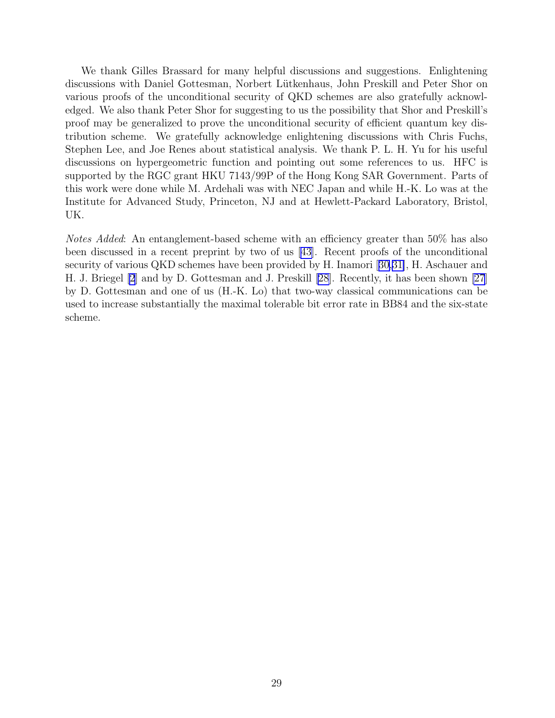We thank Gilles Brassard for many helpful discussions and suggestions. Enlightening discussions with Daniel Gottesman, Norbert Lütkenhaus, John Preskill and Peter Shor on various proofs of the unconditional security of QKD schemes are also gratefully acknowledged. We also thank Peter Shor for suggesting to us the possibility that Shor and Preskill's proof may be generalized to prove the unconditional security of efficient quantum key distribution scheme. We gratefully acknowledge enlightening discussions with Chris Fuchs, Stephen Lee, and Joe Renes about statistical analysis. We thank P. L. H. Yu for his useful discussions on hypergeometric function and pointing out some references to us. HFC is supported by the RGC grant HKU 7143/99P of the Hong Kong SAR Government. Parts of this work were done while M. Ardehali was with NEC Japan and while H.-K. Lo was at the Institute for Advanced Study, Princeton, NJ and at Hewlett-Packard Laboratory, Bristol, UK.

Notes Added: An entanglement-based scheme with an efficiency greater than 50% has also been discussed in a recent preprint by two of us [\[43\]](#page-30-0). Recent proofs of the unconditional security of various QKD schemes have been provided by H. Inamori [[30,31\]](#page-30-0), H. Aschauer and H. J. Briegel [\[2](#page-29-0)] and by D. Gottesman and J. Preskill [\[28](#page-30-0)]. Recently, it has been shown [\[27](#page-30-0)] by D. Gottesman and one of us (H.-K. Lo) that two-way classical communications can be used to increase substantially the maximal tolerable bit error rate in BB84 and the six-state scheme.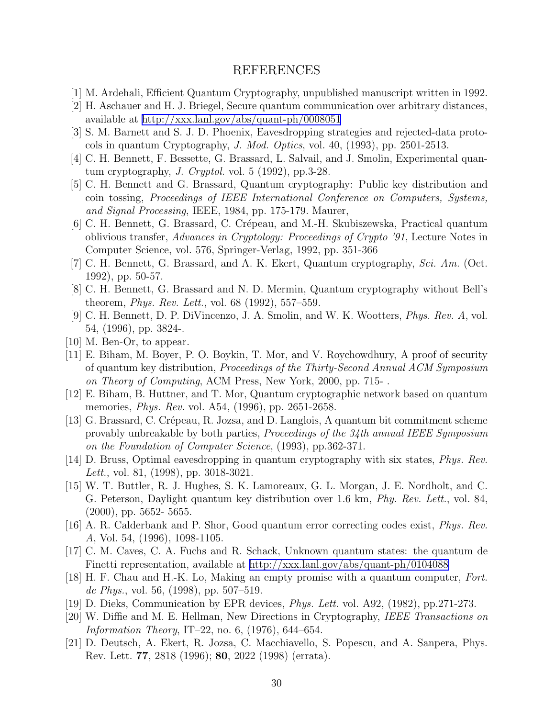# REFERENCES

- <span id="page-29-0"></span>[1] M. Ardehali, Efficient Quantum Cryptography, unpublished manuscript written in 1992.
- [2] H. Aschauer and H. J. Briegel, Secure quantum communication over arbitrary distances, available at<http://xxx.lanl.gov/abs/quant-ph/0008051>
- [3] S. M. Barnett and S. J. D. Phoenix, Eavesdropping strategies and rejected-data protocols in quantum Cryptography, J. Mod. Optics, vol. 40, (1993), pp. 2501-2513.
- [4] C. H. Bennett, F. Bessette, G. Brassard, L. Salvail, and J. Smolin, Experimental quantum cryptography, *J. Cryptol.* vol.  $5$  (1992), pp. 3-28.
- [5] C. H. Bennett and G. Brassard, Quantum cryptography: Public key distribution and coin tossing, Proceedings of IEEE International Conference on Computers, Systems, and Signal Processing, IEEE, 1984, pp. 175-179. Maurer,
- [6] C. H. Bennett, G. Brassard, C. Crépeau, and M.-H. Skubiszewska, Practical quantum oblivious transfer, Advances in Cryptology: Proceedings of Crypto '91, Lecture Notes in Computer Science, vol. 576, Springer-Verlag, 1992, pp. 351-366
- [7] C. H. Bennett, G. Brassard, and A. K. Ekert, Quantum cryptography, Sci. Am. (Oct. 1992), pp. 50-57.
- [8] C. H. Bennett, G. Brassard and N. D. Mermin, Quantum cryptography without Bell's theorem, Phys. Rev. Lett., vol. 68 (1992), 557–559.
- [9] C. H. Bennett, D. P. DiVincenzo, J. A. Smolin, and W. K. Wootters, Phys. Rev. A, vol. 54, (1996), pp. 3824-.
- [10] M. Ben-Or, to appear.
- [11] E. Biham, M. Boyer, P. O. Boykin, T. Mor, and V. Roychowdhury, A proof of security of quantum key distribution, Proceedings of the Thirty-Second Annual ACM Symposium on Theory of Computing, ACM Press, New York, 2000, pp. 715- .
- [12] E. Biham, B. Huttner, and T. Mor, Quantum cryptographic network based on quantum memories, Phys. Rev. vol. A54, (1996), pp. 2651-2658.
- [13] G. Brassard, C. Crépeau, R. Jozsa, and D. Langlois, A quantum bit commitment scheme provably unbreakable by both parties, Proceedings of the 34th annual IEEE Symposium on the Foundation of Computer Science, (1993), pp.362-371.
- [14] D. Bruss, Optimal eavesdropping in quantum cryptography with six states, Phys. Rev. Lett., vol. 81, (1998), pp. 3018-3021.
- [15] W. T. Buttler, R. J. Hughes, S. K. Lamoreaux, G. L. Morgan, J. E. Nordholt, and C. G. Peterson, Daylight quantum key distribution over 1.6 km, Phy. Rev. Lett., vol. 84, (2000), pp. 5652- 5655.
- [16] A. R. Calderbank and P. Shor, Good quantum error correcting codes exist, Phys. Rev. A, Vol. 54, (1996), 1098-1105.
- [17] C. M. Caves, C. A. Fuchs and R. Schack, Unknown quantum states: the quantum de Finetti representation, available at<http://xxx.lanl.gov/abs/quant-ph/0104088>
- [18] H. F. Chau and H.-K. Lo, Making an empty promise with a quantum computer, Fort. de Phys., vol. 56, (1998), pp. 507–519.
- [19] D. Dieks, Communication by EPR devices, Phys. Lett. vol. A92, (1982), pp.271-273.
- [20] W. Diffie and M. E. Hellman, New Directions in Cryptography, IEEE Transactions on *Information Theory*, IT–22, no. 6,  $(1976)$ , 644–654.
- [21] D. Deutsch, A. Ekert, R. Jozsa, C. Macchiavello, S. Popescu, and A. Sanpera, Phys. Rev. Lett. 77, 2818 (1996); 80, 2022 (1998) (errata).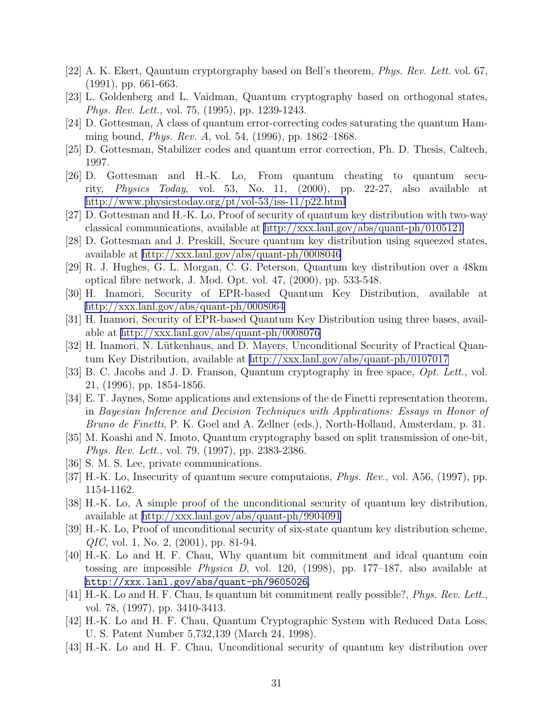- <span id="page-30-0"></span>[22] A. K. Ekert, Qauntum cryptorgraphy based on Bell's theorem, Phys. Rev. Lett. vol. 67, (1991), pp. 661-663.
- [23] L. Goldenberg and L. Vaidman, Quantum cryptography based on orthogonal states, Phys. Rev. Lett., vol. 75, (1995), pp. 1239-1243.
- [24] D. Gottesman, A class of quantum error-correcting codes saturating the quantum Hamming bound, Phys. Rev. A, vol. 54, (1996), pp. 1862–1868.
- [25] D. Gottesman, Stabilizer codes and quantum error correction, Ph. D. Thesis, Caltech, 1997.
- [26] D. Gottesman and H.-K. Lo, From quantum cheating to quantum security, Physics Today, vol. 53, No. 11, (2000), pp. 22-27, also available at <http://www.physicstoday.org/pt/vol-53/iss-11/p22.html>
- [27] D. Gottesman and H.-K. Lo, Proof of security of quantum key distribution with two-way classical communications, available at<http://xxx.lanl.gov/abs/quant-ph/0105121>
- [28] D. Gottesman and J. Preskill, Secure quantum key distribution using squeezed states, available at<http://xxx.lanl.gov/abs/quant-ph/0008046>
- [29] R. J. Hughes, G. L. Morgan, C. G. Peterson, Quantum key distribution over a 48km optical fibre network, J. Mod. Opt. vol. 47, (2000), pp. 533-548.
- [30] H. Inamori, Security of EPR-based Quantum Key Distribution, available at <http://xxx.lanl.gov/abs/quant-ph/0008064>
- [31] H. Inamori, Security of EPR-based Quantum Key Distribution using three bases, available at<http://xxx.lanl.gov/abs/quant-ph/0008076>
- [32] H. Inamori, N. Lütkenhaus, and D. Mayers, Unconditional Security of Practical Quantum Key Distribution, available at<http://xxx.lanl.gov/abs/quant-ph/0107017>
- [33] B. C. Jacobs and J. D. Franson, Quantum cryptography in free space, Opt. Lett., vol. 21, (1996), pp. 1854-1856.
- [34] E. T. Jaynes, Some applications and extensions of the de Finetti representation theorem, in Bayesian Inference and Decision Techniques with Applications: Essays in Honor of Bruno de Finetti, P. K. Goel and A. Zellner (eds.), North-Holland, Amsterdam, p. 31.
- [35] M. Koashi and N. Imoto, Quantum cryptography based on split transmission of one-bit, Phys. Rev. Lett., vol. 79, (1997), pp. 2383-2386.
- [36] S. M. S. Lee, private communications.
- [37] H.-K. Lo, Insecurity of quantum secure computaions, Phys. Rev., vol. A56, (1997), pp. 1154-1162.
- [38] H.-K. Lo, A simple proof of the unconditional security of quantum key distribution, available at<http://xxx.lanl.gov/abs/quant-ph/9904091>
- [39] H.-K. Lo, Proof of unconditional security of six-state quantum key distribution scheme, QIC, vol. 1, No. 2, (2001), pp. 81-94.
- [40] H.-K. Lo and H. F. Chau, Why quantum bit commitment and ideal quantum coin tossing are impossible Physica D, vol. 120, (1998), pp. 177–187, also available at <http://xxx.lanl.gov/abs/quant-ph/9605026>.
- [41] H.-K. Lo and H. F. Chau, Is quantum bit commitment really possible?, Phys. Rev. Lett., vol. 78, (1997), pp. 3410-3413.
- [42] H.-K. Lo and H. F. Chau, Quantum Cryptographic System with Reduced Data Loss, U. S. Patent Number 5,732,139 (March 24, 1998).
- [43] H.-K. Lo and H. F. Chau, Unconditional security of quantum key distribution over